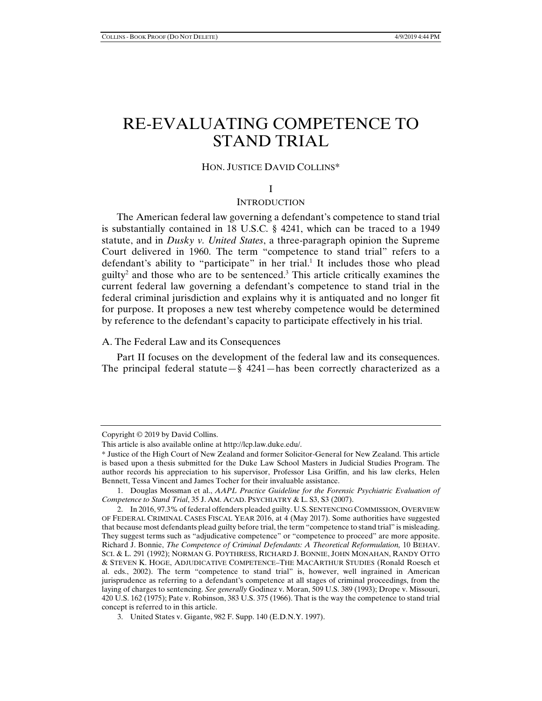# RE-EVALUATING COMPETENCE TO STAND TRIAL

## HON. JUSTICE DAVID COLLINS\*

## I

#### **INTRODUCTION**

The American federal law governing a defendant's competence to stand trial is substantially contained in 18 U.S.C. § 4241, which can be traced to a 1949 statute, and in *Dusky v. United States*, a three-paragraph opinion the Supreme Court delivered in 1960. The term "competence to stand trial" refers to a defendant's ability to "participate" in her trial.<sup>1</sup> It includes those who plead  $guity<sup>2</sup>$  and those who are to be sentenced.<sup>3</sup> This article critically examines the current federal law governing a defendant's competence to stand trial in the federal criminal jurisdiction and explains why it is antiquated and no longer fit for purpose. It proposes a new test whereby competence would be determined by reference to the defendant's capacity to participate effectively in his trial.

#### A. The Federal Law and its Consequences

Part II focuses on the development of the federal law and its consequences. The principal federal statute—§  $4241$ —has been correctly characterized as a

Copyright © 2019 by David Collins.

This article is also available online at http://lcp.law.duke.edu/.

<sup>\*</sup> Justice of the High Court of New Zealand and former Solicitor-General for New Zealand. This article is based upon a thesis submitted for the Duke Law School Masters in Judicial Studies Program. The author records his appreciation to his supervisor, Professor Lisa Griffin, and his law clerks, Helen Bennett, Tessa Vincent and James Tocher for their invaluable assistance.

 <sup>1.</sup> Douglas Mossman et al., *AAPL Practice Guideline for the Forensic Psychiatric Evaluation of Competence to Stand Trial*, 35 J. AM. ACAD. PSYCHIATRY & L. S3, S3 (2007).

 <sup>2.</sup> In 2016, 97.3% of federal offenders pleaded guilty. U.S. SENTENCING COMMISSION, OVERVIEW OF FEDERAL CRIMINAL CASES FISCAL YEAR 2016, at 4 (May 2017). Some authorities have suggested that because most defendants plead guilty before trial, the term "competence to stand trial" is misleading. They suggest terms such as "adjudicative competence" or "competence to proceed" are more apposite. Richard J. Bonnie, *The Competence of Criminal Defendants: A Theoretical Reformulation,* 10 BEHAV. SCI. & L. 291 (1992); NORMAN G. POYTHRESS, RICHARD J. BONNIE, JOHN MONAHAN, RANDY OTTO & STEVEN K. HOGE, ADJUDICATIVE COMPETENCE–THE MACARTHUR STUDIES (Ronald Roesch et al. eds., 2002). The term "competence to stand trial" is, however, well ingrained in American jurisprudence as referring to a defendant's competence at all stages of criminal proceedings, from the laying of charges to sentencing. *See generally* Godinez v. Moran, 509 U.S. 389 (1993); Drope v. Missouri, 420 U.S. 162 (1975); Pate v. Robinson, 383 U.S. 375 (1966). That is the way the competence to stand trial concept is referred to in this article.

 <sup>3.</sup> United States v. Gigante, 982 F. Supp. 140 (E.D.N.Y. 1997).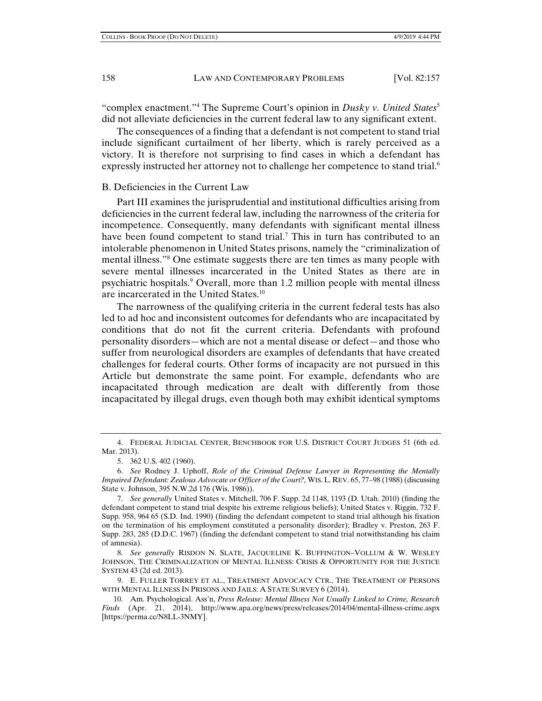"complex enactment."<sup>4</sup> The Supreme Court's opinion in *Dusky v. United States*<sup>5</sup> did not alleviate deficiencies in the current federal law to any significant extent.

The consequences of a finding that a defendant is not competent to stand trial include significant curtailment of her liberty, which is rarely perceived as a victory. It is therefore not surprising to find cases in which a defendant has expressly instructed her attorney not to challenge her competence to stand trial.<sup>6</sup>

## B. Deficiencies in the Current Law

Part III examines the jurisprudential and institutional difficulties arising from deficiencies in the current federal law, including the narrowness of the criteria for incompetence. Consequently, many defendants with significant mental illness have been found competent to stand trial.<sup>7</sup> This in turn has contributed to an intolerable phenomenon in United States prisons, namely the "criminalization of mental illness."8 One estimate suggests there are ten times as many people with severe mental illnesses incarcerated in the United States as there are in psychiatric hospitals.9 Overall, more than 1.2 million people with mental illness are incarcerated in the United States.<sup>10</sup>

The narrowness of the qualifying criteria in the current federal tests has also led to ad hoc and inconsistent outcomes for defendants who are incapacitated by conditions that do not fit the current criteria. Defendants with profound personality disorders—which are not a mental disease or defect—and those who suffer from neurological disorders are examples of defendants that have created challenges for federal courts. Other forms of incapacity are not pursued in this Article but demonstrate the same point. For example, defendants who are incapacitated through medication are dealt with differently from those incapacitated by illegal drugs, even though both may exhibit identical symptoms

 <sup>4.</sup> FEDERAL JUDICIAL CENTER, BENCHBOOK FOR U.S. DISTRICT COURT JUDGES 51 (6th ed. Mar. 2013).

 <sup>5. 362</sup> U.S. 402 (1960).

 <sup>6.</sup> *See* Rodney J. Uphoff, *Role of the Criminal Defense Lawyer in Representing the Mentally Impaired Defendant: Zealous Advocate or Officer of the Court?,* WIS.L. REV. 65, 77–98 (1988) (discussing State v. Johnson, 395 N.W.2d 176 (Wis. 1986)).

 <sup>7.</sup> *See generally* United States v. Mitchell, 706 F. Supp. 2d 1148, 1193 (D. Utah. 2010) (finding the defendant competent to stand trial despite his extreme religious beliefs); United States v. Riggin, 732 F. Supp. 958, 964 65 (S.D. Ind. 1990) (finding the defendant competent to stand trial although his fixation on the termination of his employment constituted a personality disorder); Bradley v. Preston, 263 F. Supp. 283, 285 (D.D.C. 1967) (finding the defendant competent to stand trial notwithstanding his claim of amnesia).

 <sup>8.</sup> *See generally* RISDON N. SLATE, JACQUELINE K. BUFFINGTON–VOLLUM & W. WESLEY JOHNSON, THE CRIMINALIZATION OF MENTAL ILLNESS: CRISIS & OPPORTUNITY FOR THE JUSTICE SYSTEM 43 (2d ed. 2013).

 <sup>9.</sup> E. FULLER TORREY ET AL., TREATMENT ADVOCACY CTR., THE TREATMENT OF PERSONS WITH MENTAL ILLNESS IN PRISONS AND JAILS: A STATE SURVEY 6 (2014).

 <sup>10.</sup> Am. Psychological. Ass'n, *Press Release: Mental Illness Not Usually Linked to Crime, Research Finds* (Apr. 21, 2014), http://www.apa.org/news/press/releases/2014/04/mental-illness-crime.aspx [https://perma.cc/N8LL-3NMY].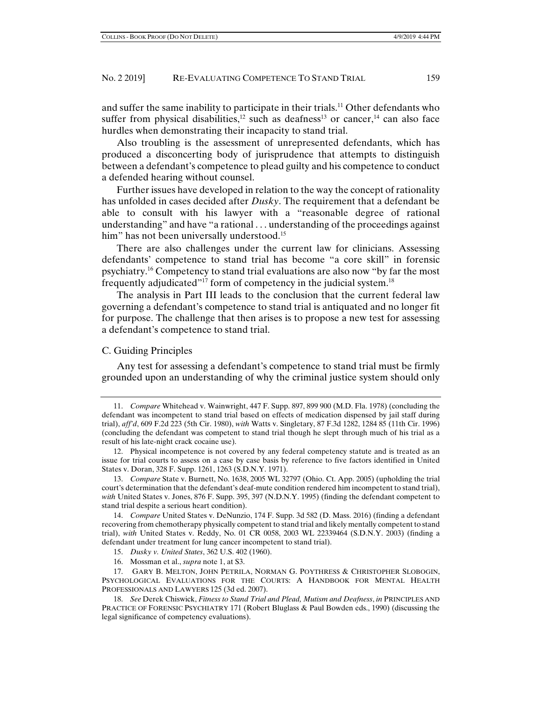and suffer the same inability to participate in their trials.<sup>11</sup> Other defendants who suffer from physical disabilities,<sup>12</sup> such as deafness<sup>13</sup> or cancer,<sup>14</sup> can also face hurdles when demonstrating their incapacity to stand trial.

Also troubling is the assessment of unrepresented defendants, which has produced a disconcerting body of jurisprudence that attempts to distinguish between a defendant's competence to plead guilty and his competence to conduct a defended hearing without counsel.

Further issues have developed in relation to the way the concept of rationality has unfolded in cases decided after *Dusky*. The requirement that a defendant be able to consult with his lawyer with a "reasonable degree of rational understanding" and have "a rational . . . understanding of the proceedings against him" has not been universally understood.<sup>15</sup>

There are also challenges under the current law for clinicians. Assessing defendants' competence to stand trial has become "a core skill" in forensic psychiatry.16 Competency to stand trial evaluations are also now "by far the most frequently adjudicated"<sup>17</sup> form of competency in the judicial system.<sup>18</sup>

The analysis in Part III leads to the conclusion that the current federal law governing a defendant's competence to stand trial is antiquated and no longer fit for purpose. The challenge that then arises is to propose a new test for assessing a defendant's competence to stand trial.

## C. Guiding Principles

Any test for assessing a defendant's competence to stand trial must be firmly grounded upon an understanding of why the criminal justice system should only

 <sup>11.</sup> *Compare* Whitehead v. Wainwright, 447 F. Supp. 897, 899 900 (M.D. Fla. 1978) (concluding the defendant was incompetent to stand trial based on effects of medication dispensed by jail staff during trial), *aff'd*, 609 F.2d 223 (5th Cir. 1980), *with* Watts v. Singletary, 87 F.3d 1282, 1284 85 (11th Cir. 1996) (concluding the defendant was competent to stand trial though he slept through much of his trial as a result of his late-night crack cocaine use).

 <sup>12.</sup> Physical incompetence is not covered by any federal competency statute and is treated as an issue for trial courts to assess on a case by case basis by reference to five factors identified in United States v. Doran, 328 F. Supp. 1261, 1263 (S.D.N.Y. 1971).

 <sup>13.</sup> *Compare* State v. Burnett, No. 1638, 2005 WL 32797 (Ohio. Ct. App. 2005) (upholding the trial court's determination that the defendant's deaf-mute condition rendered him incompetent to stand trial), *with* United States v. Jones, 876 F. Supp. 395, 397 (N.D.N.Y. 1995) (finding the defendant competent to stand trial despite a serious heart condition).

 <sup>14.</sup> *Compare* United States v. DeNunzio, 174 F. Supp. 3d 582 (D. Mass. 2016) (finding a defendant recovering from chemotherapy physically competent to stand trial and likely mentally competent to stand trial), *with* United States v. Reddy, No. 01 CR 0058, 2003 WL 22339464 (S.D.N.Y. 2003) (finding a defendant under treatment for lung cancer incompetent to stand trial).

 <sup>15.</sup> *Dusky v. United States*, 362 U.S. 402 (1960).

 <sup>16.</sup> Mossman et al., *supra* note 1, at S3.

 <sup>17.</sup> GARY B. MELTON, JOHN PETRILA, NORMAN G. POYTHRESS & CHRISTOPHER SLOBOGIN, PSYCHOLOGICAL EVALUATIONS FOR THE COURTS: A HANDBOOK FOR MENTAL HEALTH PROFESSIONALS AND LAWYERS 125 (3d ed. 2007).

 <sup>18.</sup> *See* Derek Chiswick, *Fitness to Stand Trial and Plead, Mutism and Deafness*, *in* PRINCIPLES AND PRACTICE OF FORENSIC PSYCHIATRY 171 (Robert Bluglass & Paul Bowden eds., 1990) (discussing the legal significance of competency evaluations).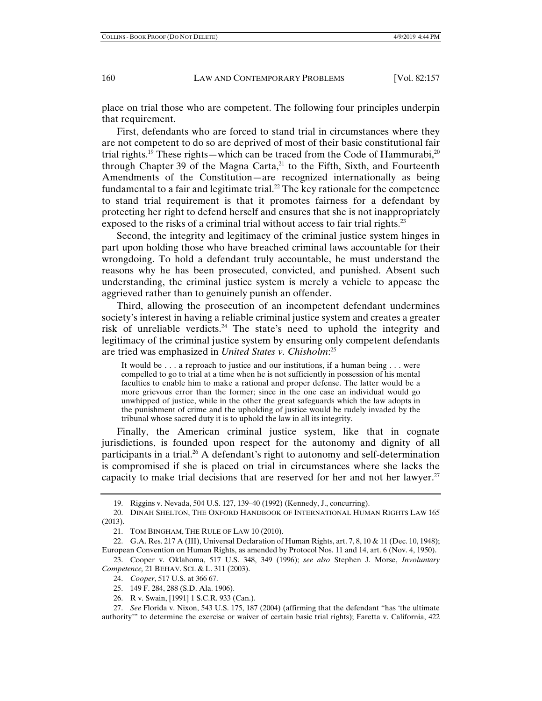place on trial those who are competent. The following four principles underpin that requirement.

First, defendants who are forced to stand trial in circumstances where they are not competent to do so are deprived of most of their basic constitutional fair trial rights.<sup>19</sup> These rights—which can be traced from the Code of Hammurabi,<sup>20</sup> through Chapter 39 of the Magna Carta, $21$  to the Fifth, Sixth, and Fourteenth Amendments of the Constitution—are recognized internationally as being fundamental to a fair and legitimate trial.<sup>22</sup> The key rationale for the competence to stand trial requirement is that it promotes fairness for a defendant by protecting her right to defend herself and ensures that she is not inappropriately exposed to the risks of a criminal trial without access to fair trial rights.<sup>23</sup>

Second, the integrity and legitimacy of the criminal justice system hinges in part upon holding those who have breached criminal laws accountable for their wrongdoing. To hold a defendant truly accountable, he must understand the reasons why he has been prosecuted, convicted, and punished. Absent such understanding, the criminal justice system is merely a vehicle to appease the aggrieved rather than to genuinely punish an offender.

Third, allowing the prosecution of an incompetent defendant undermines society's interest in having a reliable criminal justice system and creates a greater risk of unreliable verdicts.24 The state's need to uphold the integrity and legitimacy of the criminal justice system by ensuring only competent defendants are tried was emphasized in *United States v. Chisholm*: 25

It would be . . . a reproach to justice and our institutions, if a human being . . . were compelled to go to trial at a time when he is not sufficiently in possession of his mental faculties to enable him to make a rational and proper defense. The latter would be a more grievous error than the former; since in the one case an individual would go unwhipped of justice, while in the other the great safeguards which the law adopts in the punishment of crime and the upholding of justice would be rudely invaded by the tribunal whose sacred duty it is to uphold the law in all its integrity.

Finally, the American criminal justice system, like that in cognate jurisdictions, is founded upon respect for the autonomy and dignity of all participants in a trial.<sup>26</sup> A defendant's right to autonomy and self-determination is compromised if she is placed on trial in circumstances where she lacks the capacity to make trial decisions that are reserved for her and not her lawyer.<sup>27</sup>

 <sup>19.</sup> Riggins v. Nevada, 504 U.S. 127, 139–40 (1992) (Kennedy, J., concurring).

 <sup>20.</sup> DINAH SHELTON, THE OXFORD HANDBOOK OF INTERNATIONAL HUMAN RIGHTS LAW 165 (2013).

 <sup>21.</sup> TOM BINGHAM, THE RULE OF LAW 10 (2010).

 <sup>22.</sup> G.A. Res. 217 A (III), Universal Declaration of Human Rights, art. 7, 8, 10 & 11 (Dec. 10, 1948); European Convention on Human Rights, as amended by Protocol Nos. 11 and 14, art. 6 (Nov. 4, 1950).

 <sup>23.</sup> Cooper v. Oklahoma, 517 U.S. 348, 349 (1996); *see also* Stephen J. Morse, *Involuntary Competence,* 21 BEHAV. SCI. & L. 311 (2003).

 <sup>24.</sup> *Cooper*, 517 U.S. at 366 67.

 <sup>25. 149</sup> F. 284, 288 (S.D. Ala. 1906).

 <sup>26.</sup> R v. Swain, [1991] 1 S.C.R. 933 (Can.).

 <sup>27.</sup> *See* Florida v. Nixon, 543 U.S. 175, 187 (2004) (affirming that the defendant "has 'the ultimate authority'" to determine the exercise or waiver of certain basic trial rights); Faretta v. California, 422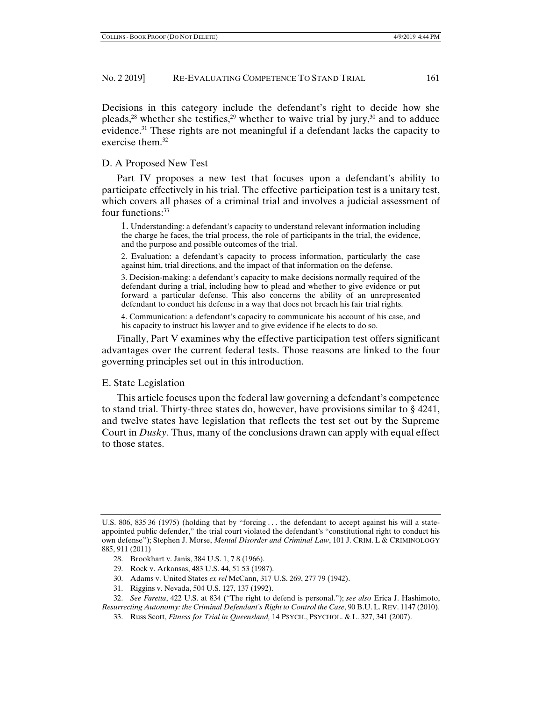Decisions in this category include the defendant's right to decide how she pleads,<sup>28</sup> whether she testifies,<sup>29</sup> whether to waive trial by jury,<sup>30</sup> and to adduce evidence.<sup>31</sup> These rights are not meaningful if a defendant lacks the capacity to exercise them.<sup>32</sup>

## D. A Proposed New Test

Part IV proposes a new test that focuses upon a defendant's ability to participate effectively in his trial. The effective participation test is a unitary test, which covers all phases of a criminal trial and involves a judicial assessment of four functions:<sup>33</sup>

1. Understanding: a defendant's capacity to understand relevant information including the charge he faces, the trial process, the role of participants in the trial, the evidence, and the purpose and possible outcomes of the trial.

2. Evaluation: a defendant's capacity to process information, particularly the case against him, trial directions, and the impact of that information on the defense.

3. Decision-making: a defendant's capacity to make decisions normally required of the defendant during a trial, including how to plead and whether to give evidence or put forward a particular defense. This also concerns the ability of an unrepresented defendant to conduct his defense in a way that does not breach his fair trial rights.

4. Communication: a defendant's capacity to communicate his account of his case, and his capacity to instruct his lawyer and to give evidence if he elects to do so.

Finally, Part V examines why the effective participation test offers significant advantages over the current federal tests. Those reasons are linked to the four governing principles set out in this introduction.

#### E. State Legislation

This article focuses upon the federal law governing a defendant's competence to stand trial. Thirty-three states do, however, have provisions similar to § 4241, and twelve states have legislation that reflects the test set out by the Supreme Court in *Dusky*. Thus, many of the conclusions drawn can apply with equal effect to those states.

- 28. Brookhart v. Janis, 384 U.S. 1, 7 8 (1966).
- 29. Rock v. Arkansas, 483 U.S. 44, 51 53 (1987).
- 30. Adams v. United States *ex rel* McCann, 317 U.S. 269, 277 79 (1942).
- 31. Riggins v. Nevada, 504 U.S. 127, 137 (1992).

U.S. 806, 835 36 (1975) (holding that by "forcing . . . the defendant to accept against his will a stateappointed public defender," the trial court violated the defendant's "constitutional right to conduct his own defense"); Stephen J. Morse, *Mental Disorder and Criminal Law*, 101 J. CRIM. L & CRIMINOLOGY 885, 911 (2011)

 <sup>32.</sup> *See Faretta*, 422 U.S. at 834 ("The right to defend is personal."); *see also* Erica J. Hashimoto, *Resurrecting Autonomy: the Criminal Defendant's Right to Control the Case*, 90 B.U. L. REV. 1147 (2010).

 <sup>33.</sup> Russ Scott, *Fitness for Trial in Queensland,* 14 PSYCH., PSYCHOL. & L. 327, 341 (2007).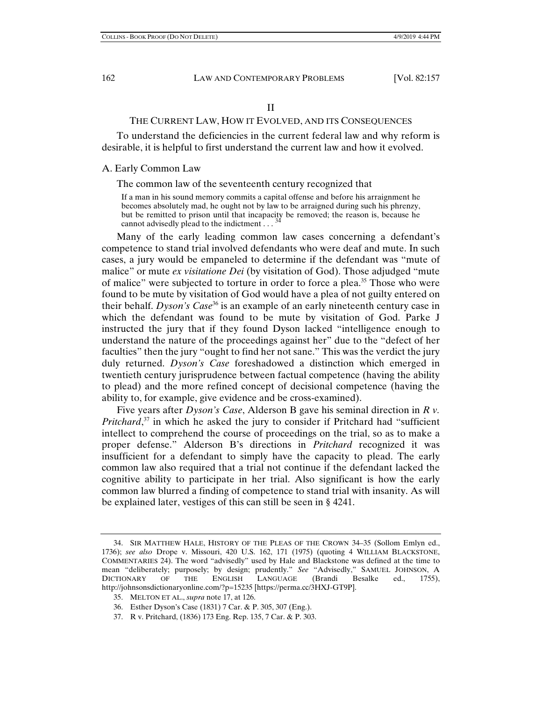## II

## THE CURRENT LAW, HOW IT EVOLVED, AND ITS CONSEQUENCES

To understand the deficiencies in the current federal law and why reform is desirable, it is helpful to first understand the current law and how it evolved.

#### A. Early Common Law

## The common law of the seventeenth century recognized that

If a man in his sound memory commits a capital offense and before his arraignment he becomes absolutely mad, he ought not by law to be arraigned during such his phrenzy, but be remitted to prison until that incapacity be removed; the reason is, because he cannot advisedly plead to the indictment...<sup>3</sup>

Many of the early leading common law cases concerning a defendant's competence to stand trial involved defendants who were deaf and mute. In such cases, a jury would be empaneled to determine if the defendant was "mute of malice" or mute *ex visitatione Dei* (by visitation of God). Those adjudged "mute of malice" were subjected to torture in order to force a plea.<sup>35</sup> Those who were found to be mute by visitation of God would have a plea of not guilty entered on their behalf. *Dyson's Case*<sup>36</sup> is an example of an early nineteenth century case in which the defendant was found to be mute by visitation of God. Parke J instructed the jury that if they found Dyson lacked "intelligence enough to understand the nature of the proceedings against her" due to the "defect of her faculties" then the jury "ought to find her not sane." This was the verdict the jury duly returned. *Dyson's Case* foreshadowed a distinction which emerged in twentieth century jurisprudence between factual competence (having the ability to plead) and the more refined concept of decisional competence (having the ability to, for example, give evidence and be cross-examined).

Five years after *Dyson's Case*, Alderson B gave his seminal direction in *R v. Pritchard*, 37 in which he asked the jury to consider if Pritchard had "sufficient intellect to comprehend the course of proceedings on the trial, so as to make a proper defense." Alderson B's directions in *Pritchard* recognized it was insufficient for a defendant to simply have the capacity to plead. The early common law also required that a trial not continue if the defendant lacked the cognitive ability to participate in her trial. Also significant is how the early common law blurred a finding of competence to stand trial with insanity. As will be explained later, vestiges of this can still be seen in § 4241.

 <sup>34.</sup> SIR MATTHEW HALE, HISTORY OF THE PLEAS OF THE CROWN 34–35 (Sollom Emlyn ed., 1736); *see also* Drope v. Missouri, 420 U.S. 162, 171 (1975) (quoting 4 WILLIAM BLACKSTONE, COMMENTARIES 24). The word "advisedly" used by Hale and Blackstone was defined at the time to mean "deliberately; purposely; by design; prudently." *See* "Advisedly," SAMUEL JOHNSON, A DICTIONARY OF THE ENGLISH LANGUAGE (Brandi Besalke ed., 1755), http://johnsonsdictionaryonline.com/?p=15235 [https://perma.cc/3HXJ-GT9P].

 <sup>35.</sup> MELTON ET AL., *supra* note 17, at 126.

 <sup>36.</sup> Esther Dyson's Case (1831) 7 Car. & P. 305, 307 (Eng.).

 <sup>37.</sup> R v. Pritchard, (1836) 173 Eng. Rep. 135, 7 Car. & P. 303.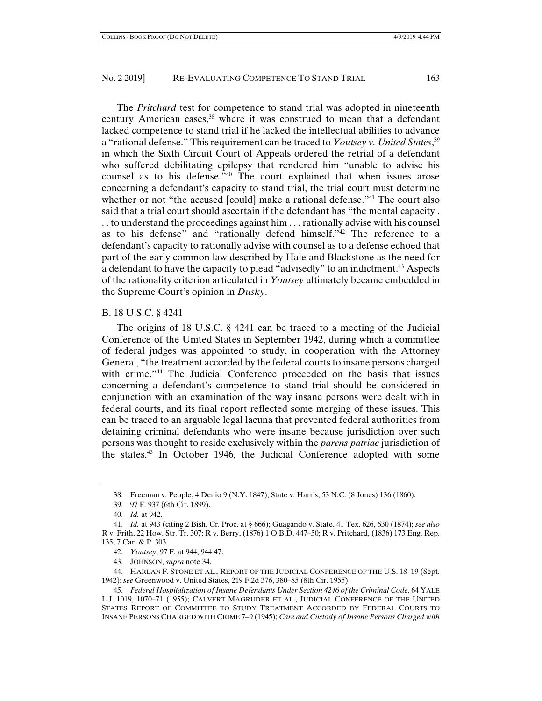The *Pritchard* test for competence to stand trial was adopted in nineteenth century American cases,<sup>38</sup> where it was construed to mean that a defendant lacked competence to stand trial if he lacked the intellectual abilities to advance a "rational defense." This requirement can be traced to *Youtsey v. United States*, 39 in which the Sixth Circuit Court of Appeals ordered the retrial of a defendant who suffered debilitating epilepsy that rendered him "unable to advise his counsel as to his defense."40 The court explained that when issues arose concerning a defendant's capacity to stand trial, the trial court must determine whether or not "the accused [could] make a rational defense."<sup>41</sup> The court also said that a trial court should ascertain if the defendant has "the mental capacity . . . to understand the proceedings against him . . . rationally advise with his counsel as to his defense" and "rationally defend himself."42 The reference to a defendant's capacity to rationally advise with counsel as to a defense echoed that part of the early common law described by Hale and Blackstone as the need for a defendant to have the capacity to plead "advisedly" to an indictment.<sup>43</sup> Aspects of the rationality criterion articulated in *Youtsey* ultimately became embedded in the Supreme Court's opinion in *Dusky*.

## B. 18 U.S.C. § 4241

The origins of 18 U.S.C. § 4241 can be traced to a meeting of the Judicial Conference of the United States in September 1942, during which a committee of federal judges was appointed to study, in cooperation with the Attorney General, "the treatment accorded by the federal courts to insane persons charged with crime."<sup>44</sup> The Judicial Conference proceeded on the basis that issues concerning a defendant's competence to stand trial should be considered in conjunction with an examination of the way insane persons were dealt with in federal courts, and its final report reflected some merging of these issues. This can be traced to an arguable legal lacuna that prevented federal authorities from detaining criminal defendants who were insane because jurisdiction over such persons was thought to reside exclusively within the *parens patriae* jurisdiction of the states.45 In October 1946, the Judicial Conference adopted with some

- 42. *Youtsey*, 97 F. at 944, 944 47.
- 43. JOHNSON, *supra* note 34.

 44. HARLAN F. STONE ET AL., REPORT OF THE JUDICIAL CONFERENCE OF THE U.S. 18–19 (Sept. 1942); *see* Greenwood v. United States, 219 F.2d 376, 380–85 (8th Cir. 1955).

 <sup>38.</sup> Freeman v. People, 4 Denio 9 (N.Y. 1847); State v. Harris, 53 N.C. (8 Jones) 136 (1860).

 <sup>39. 97</sup> F. 937 (6th Cir. 1899).

 <sup>40.</sup> *Id.* at 942.

 <sup>41.</sup> *Id.* at 943 (citing 2 Bish. Cr. Proc. at § 666); Guagando v. State, 41 Tex. 626, 630 (1874); *see also* R v. Frith, 22 How. Str. Tr. 307; R v. Berry, (1876) 1 Q.B.D. 447–50; R v. Pritchard, (1836) 173 Eng. Rep. 135, 7 Car. & P. 303

 <sup>45.</sup> *Federal Hospitalization of Insane Defendants Under Section 4246 of the Criminal Code,* 64 YALE L.J. 1019, 1070–71 (1955); CALVERT MAGRUDER ET AL., JUDICIAL CONFERENCE OF THE UNITED STATES REPORT OF COMMITTEE TO STUDY TREATMENT ACCORDED BY FEDERAL COURTS TO INSANE PERSONS CHARGED WITH CRIME 7–9 (1945); *Care and Custody of Insane Persons Charged with*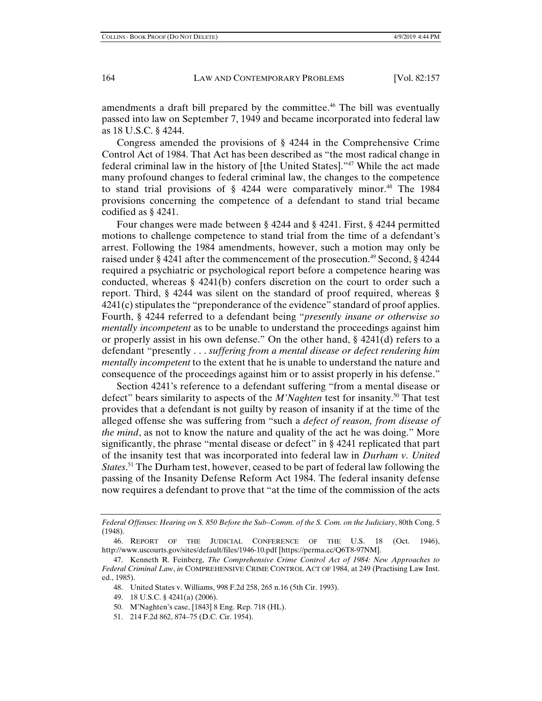amendments a draft bill prepared by the committee.<sup>46</sup> The bill was eventually passed into law on September 7, 1949 and became incorporated into federal law as 18 U.S.C. § 4244.

Congress amended the provisions of § 4244 in the Comprehensive Crime Control Act of 1984. That Act has been described as "the most radical change in federal criminal law in the history of [the United States]."47 While the act made many profound changes to federal criminal law, the changes to the competence to stand trial provisions of  $\S$  4244 were comparatively minor.<sup>48</sup> The 1984 provisions concerning the competence of a defendant to stand trial became codified as § 4241.

Four changes were made between § 4244 and § 4241. First, § 4244 permitted motions to challenge competence to stand trial from the time of a defendant's arrest. Following the 1984 amendments, however, such a motion may only be raised under § 4241 after the commencement of the prosecution.<sup>49</sup> Second, § 4244 required a psychiatric or psychological report before a competence hearing was conducted, whereas § 4241(b) confers discretion on the court to order such a report. Third, § 4244 was silent on the standard of proof required, whereas §  $4241(c)$  stipulates the "preponderance of the evidence" standard of proof applies. Fourth, § 4244 referred to a defendant being "*presently insane or otherwise so mentally incompetent* as to be unable to understand the proceedings against him or properly assist in his own defense." On the other hand, § 4241(d) refers to a defendant "presently . . . *suffering from a mental disease or defect rendering him mentally incompetent* to the extent that he is unable to understand the nature and consequence of the proceedings against him or to assist properly in his defense."

Section 4241's reference to a defendant suffering "from a mental disease or defect" bears similarity to aspects of the *M'Naghten* test for insanity.50 That test provides that a defendant is not guilty by reason of insanity if at the time of the alleged offense she was suffering from "such a *defect of reason, from disease of the mind*, as not to know the nature and quality of the act he was doing." More significantly, the phrase "mental disease or defect" in § 4241 replicated that part of the insanity test that was incorporated into federal law in *Durham v. United States*. <sup>51</sup> The Durham test, however, ceased to be part of federal law following the passing of the Insanity Defense Reform Act 1984. The federal insanity defense now requires a defendant to prove that "at the time of the commission of the acts

*Federal Offenses: Hearing on S. 850 Before the Sub–Comm. of the S. Com. on the Judiciary*, 80th Cong. 5 (1948).

- 49. 18 U.S.C. § 4241(a) (2006).
- 50. M'Naghten's case, [1843] 8 Eng. Rep. 718 (HL).
- 51. 214 F.2d 862, 874–75 (D.C. Cir. 1954).

 <sup>46.</sup> REPORT OF THE JUDICIAL CONFERENCE OF THE U.S. 18 (Oct. 1946), http://www.uscourts.gov/sites/default/files/1946-10.pdf [https://perma.cc/Q6T8-97NM].

 <sup>47.</sup> Kenneth R. Feinberg, *The Comprehensive Crime Control Act of 1984: New Approaches to Federal Criminal Law*, *in* COMPREHENSIVE CRIME CONTROL ACT OF 1984, at 249 (Practising Law Inst. ed., 1985).

 <sup>48.</sup> United States v. Williams, 998 F.2d 258, 265 n.16 (5th Cir. 1993).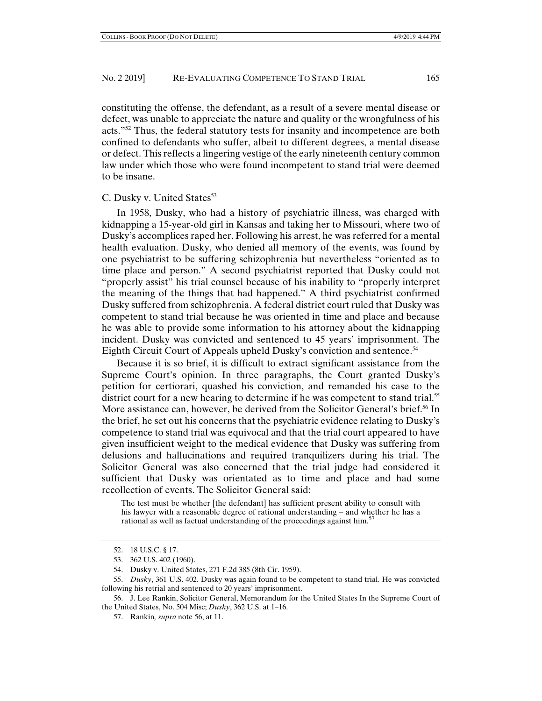constituting the offense, the defendant, as a result of a severe mental disease or defect, was unable to appreciate the nature and quality or the wrongfulness of his acts."52 Thus, the federal statutory tests for insanity and incompetence are both confined to defendants who suffer, albeit to different degrees, a mental disease or defect. This reflects a lingering vestige of the early nineteenth century common law under which those who were found incompetent to stand trial were deemed to be insane.

#### C. Dusky v. United States<sup>53</sup>

In 1958, Dusky, who had a history of psychiatric illness, was charged with kidnapping a 15-year-old girl in Kansas and taking her to Missouri, where two of Dusky's accomplices raped her. Following his arrest, he was referred for a mental health evaluation. Dusky, who denied all memory of the events, was found by one psychiatrist to be suffering schizophrenia but nevertheless "oriented as to time place and person." A second psychiatrist reported that Dusky could not "properly assist" his trial counsel because of his inability to "properly interpret the meaning of the things that had happened." A third psychiatrist confirmed Dusky suffered from schizophrenia. A federal district court ruled that Dusky was competent to stand trial because he was oriented in time and place and because he was able to provide some information to his attorney about the kidnapping incident. Dusky was convicted and sentenced to 45 years' imprisonment. The Eighth Circuit Court of Appeals upheld Dusky's conviction and sentence.<sup>54</sup>

Because it is so brief, it is difficult to extract significant assistance from the Supreme Court's opinion. In three paragraphs, the Court granted Dusky's petition for certiorari, quashed his conviction, and remanded his case to the district court for a new hearing to determine if he was competent to stand trial.<sup>55</sup> More assistance can, however, be derived from the Solicitor General's brief.<sup>56</sup> In the brief, he set out his concerns that the psychiatric evidence relating to Dusky's competence to stand trial was equivocal and that the trial court appeared to have given insufficient weight to the medical evidence that Dusky was suffering from delusions and hallucinations and required tranquilizers during his trial. The Solicitor General was also concerned that the trial judge had considered it sufficient that Dusky was orientated as to time and place and had some recollection of events. The Solicitor General said:

The test must be whether [the defendant] has sufficient present ability to consult with his lawyer with a reasonable degree of rational understanding – and whether he has a rational as well as factual understanding of the proceedings against him.<sup>57</sup>

 56. J. Lee Rankin, Solicitor General, Memorandum for the United States In the Supreme Court of the United States, No. 504 Misc; *Dusky*, 362 U.S. at 1–16.

 <sup>52. 18</sup> U.S.C. § 17.

 <sup>53. 362</sup> U.S. 402 (1960).

 <sup>54.</sup> Dusky v. United States, 271 F.2d 385 (8th Cir. 1959).

 <sup>55.</sup> *Dusky*, 361 U.S. 402. Dusky was again found to be competent to stand trial. He was convicted following his retrial and sentenced to 20 years' imprisonment.

 <sup>57.</sup> Rankin*, supra* note 56, at 11.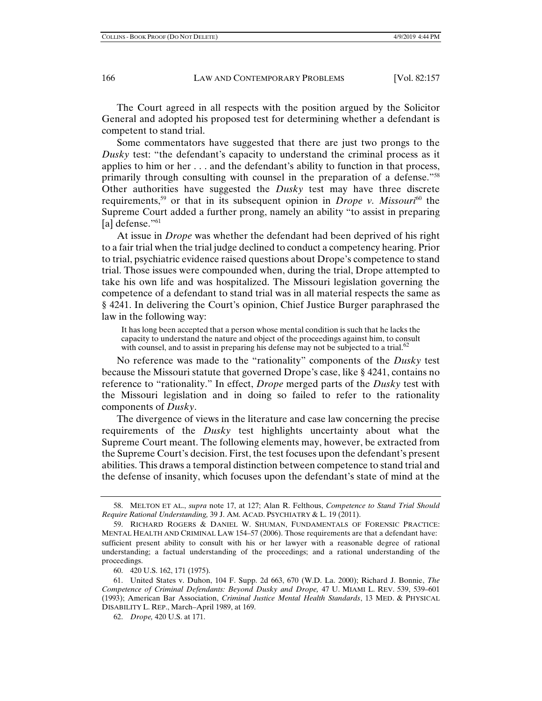The Court agreed in all respects with the position argued by the Solicitor General and adopted his proposed test for determining whether a defendant is competent to stand trial.

Some commentators have suggested that there are just two prongs to the *Dusky* test: "the defendant's capacity to understand the criminal process as it applies to him or her . . . and the defendant's ability to function in that process, primarily through consulting with counsel in the preparation of a defense."<sup>58</sup> Other authorities have suggested the *Dusky* test may have three discrete requirements,59 or that in its subsequent opinion in *Drope v. Missouri*60 the Supreme Court added a further prong, namely an ability "to assist in preparing [a] defense."  $61$ 

At issue in *Drope* was whether the defendant had been deprived of his right to a fair trial when the trial judge declined to conduct a competency hearing. Prior to trial, psychiatric evidence raised questions about Drope's competence to stand trial. Those issues were compounded when, during the trial, Drope attempted to take his own life and was hospitalized. The Missouri legislation governing the competence of a defendant to stand trial was in all material respects the same as § 4241. In delivering the Court's opinion, Chief Justice Burger paraphrased the law in the following way:

It has long been accepted that a person whose mental condition is such that he lacks the capacity to understand the nature and object of the proceedings against him, to consult with counsel, and to assist in preparing his defense may not be subjected to a trial. $62$ 

No reference was made to the "rationality" components of the *Dusky* test because the Missouri statute that governed Drope's case, like § 4241, contains no reference to "rationality." In effect, *Drope* merged parts of the *Dusky* test with the Missouri legislation and in doing so failed to refer to the rationality components of *Dusky*.

The divergence of views in the literature and case law concerning the precise requirements of the *Dusky* test highlights uncertainty about what the Supreme Court meant. The following elements may, however, be extracted from the Supreme Court's decision. First, the test focuses upon the defendant's present abilities. This draws a temporal distinction between competence to stand trial and the defense of insanity, which focuses upon the defendant's state of mind at the

 <sup>58.</sup> MELTON ET AL., *supra* note 17, at 127; Alan R. Felthous, *Competence to Stand Trial Should Require Rational Understanding,* 39 J. AM. ACAD. PSYCHIATRY & L. 19 (2011).

 <sup>59.</sup> RICHARD ROGERS & DANIEL W. SHUMAN, FUNDAMENTALS OF FORENSIC PRACTICE: MENTAL HEALTH AND CRIMINAL LAW 154–57 (2006). Those requirements are that a defendant have: sufficient present ability to consult with his or her lawyer with a reasonable degree of rational understanding; a factual understanding of the proceedings; and a rational understanding of the proceedings.

 <sup>60. 420</sup> U.S. 162, 171 (1975).

 <sup>61.</sup> United States v. Duhon, 104 F. Supp. 2d 663, 670 (W.D. La. 2000); Richard J. Bonnie, *The Competence of Criminal Defendants: Beyond Dusky and Drope,* 47 U. MIAMI L. REV. 539, 539–601 (1993); American Bar Association, *Criminal Justice Mental Health Standards*, 13 MED. & PHYSICAL DISABILITY L. REP., March–April 1989, at 169.

 <sup>62.</sup> *Drope,* 420 U.S. at 171.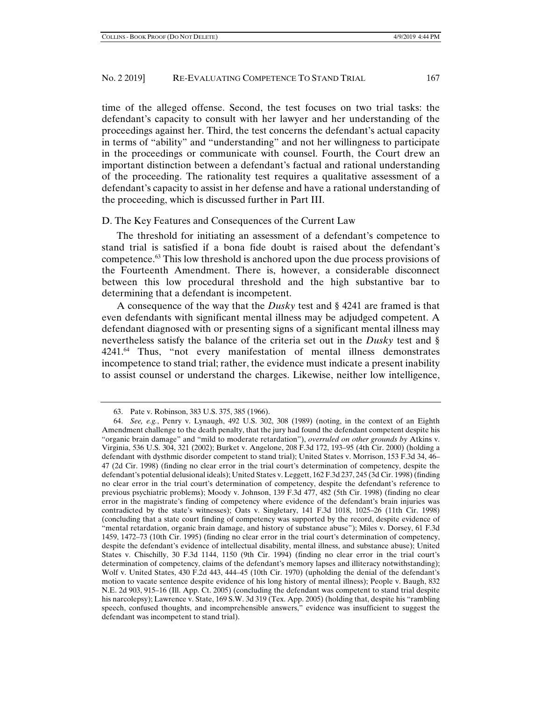time of the alleged offense. Second, the test focuses on two trial tasks: the defendant's capacity to consult with her lawyer and her understanding of the proceedings against her. Third, the test concerns the defendant's actual capacity in terms of "ability" and "understanding" and not her willingness to participate in the proceedings or communicate with counsel. Fourth, the Court drew an important distinction between a defendant's factual and rational understanding of the proceeding. The rationality test requires a qualitative assessment of a defendant's capacity to assist in her defense and have a rational understanding of the proceeding, which is discussed further in Part III.

#### D. The Key Features and Consequences of the Current Law

The threshold for initiating an assessment of a defendant's competence to stand trial is satisfied if a bona fide doubt is raised about the defendant's competence.63 This low threshold is anchored upon the due process provisions of the Fourteenth Amendment. There is, however, a considerable disconnect between this low procedural threshold and the high substantive bar to determining that a defendant is incompetent.

A consequence of the way that the *Dusky* test and § 4241 are framed is that even defendants with significant mental illness may be adjudged competent. A defendant diagnosed with or presenting signs of a significant mental illness may nevertheless satisfy the balance of the criteria set out in the *Dusky* test and § 4241.64 Thus, "not every manifestation of mental illness demonstrates incompetence to stand trial; rather, the evidence must indicate a present inability to assist counsel or understand the charges. Likewise, neither low intelligence,

 <sup>63.</sup> Pate v. Robinson, 383 U.S. 375, 385 (1966).

 <sup>64.</sup> *See, e.g.*, Penry v. Lynaugh, 492 U.S. 302, 308 (1989) (noting, in the context of an Eighth Amendment challenge to the death penalty, that the jury had found the defendant competent despite his "organic brain damage" and "mild to moderate retardation"), *overruled on other grounds by* Atkins v. Virginia, 536 U.S. 304, 321 (2002); Burket v. Angelone, 208 F.3d 172, 193–95 (4th Cir. 2000) (holding a defendant with dysthmic disorder competent to stand trial); United States v. Morrison, 153 F.3d 34, 46– 47 (2d Cir. 1998) (finding no clear error in the trial court's determination of competency, despite the defendant's potential delusional ideals); United States v. Leggett, 162 F.3d 237, 245 (3d Cir. 1998) (finding no clear error in the trial court's determination of competency, despite the defendant's reference to previous psychiatric problems); Moody v. Johnson, 139 F.3d 477, 482 (5th Cir. 1998) (finding no clear error in the magistrate's finding of competency where evidence of the defendant's brain injuries was contradicted by the state's witnesses); Oats v. Singletary, 141 F.3d 1018, 1025–26 (11th Cir. 1998) (concluding that a state court finding of competency was supported by the record, despite evidence of "mental retardation, organic brain damage, and history of substance abuse"); Miles v. Dorsey, 61 F.3d 1459, 1472–73 (10th Cir. 1995) (finding no clear error in the trial court's determination of competency, despite the defendant's evidence of intellectual disability, mental illness, and substance abuse); United States v. Chischilly, 30 F.3d 1144, 1150 (9th Cir. 1994) (finding no clear error in the trial court's determination of competency, claims of the defendant's memory lapses and illiteracy notwithstanding); Wolf v. United States, 430 F.2d 443, 444–45 (10th Cir. 1970) (upholding the denial of the defendant's motion to vacate sentence despite evidence of his long history of mental illness); People v. Baugh, 832 N.E. 2d 903, 915–16 (Ill. App. Ct. 2005) (concluding the defendant was competent to stand trial despite his narcolepsy); Lawrence v. State, 169 S.W. 3d 319 (Tex. App. 2005) (holding that, despite his "rambling speech, confused thoughts, and incomprehensible answers," evidence was insufficient to suggest the defendant was incompetent to stand trial).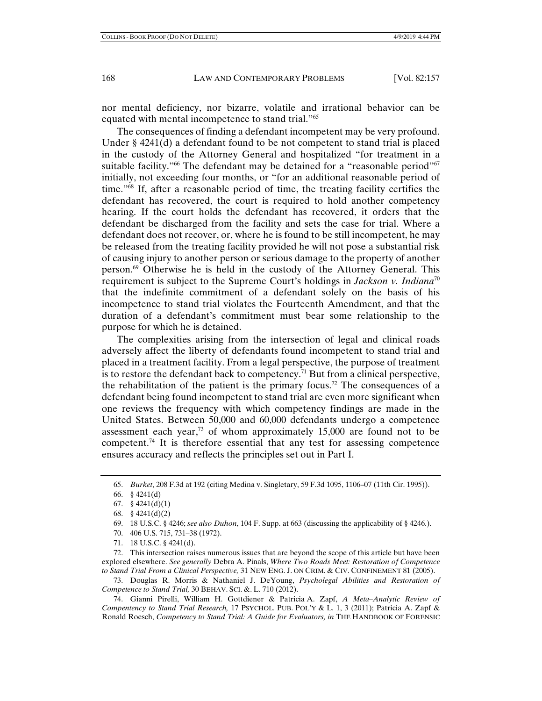nor mental deficiency, nor bizarre, volatile and irrational behavior can be equated with mental incompetence to stand trial."65

The consequences of finding a defendant incompetent may be very profound. Under § 4241(d) a defendant found to be not competent to stand trial is placed in the custody of the Attorney General and hospitalized "for treatment in a suitable facility."<sup>66</sup> The defendant may be detained for a "reasonable period"<sup>67</sup> initially, not exceeding four months, or "for an additional reasonable period of time."68 If, after a reasonable period of time, the treating facility certifies the defendant has recovered, the court is required to hold another competency hearing. If the court holds the defendant has recovered, it orders that the defendant be discharged from the facility and sets the case for trial. Where a defendant does not recover, or, where he is found to be still incompetent, he may be released from the treating facility provided he will not pose a substantial risk of causing injury to another person or serious damage to the property of another person.69 Otherwise he is held in the custody of the Attorney General. This requirement is subject to the Supreme Court's holdings in *Jackson v. Indiana*<sup>70</sup> that the indefinite commitment of a defendant solely on the basis of his incompetence to stand trial violates the Fourteenth Amendment, and that the duration of a defendant's commitment must bear some relationship to the purpose for which he is detained.

The complexities arising from the intersection of legal and clinical roads adversely affect the liberty of defendants found incompetent to stand trial and placed in a treatment facility. From a legal perspective, the purpose of treatment is to restore the defendant back to competency.<sup>71</sup> But from a clinical perspective, the rehabilitation of the patient is the primary focus.<sup>72</sup> The consequences of a defendant being found incompetent to stand trial are even more significant when one reviews the frequency with which competency findings are made in the United States. Between 50,000 and 60,000 defendants undergo a competence assessment each year,<sup>73</sup> of whom approximately  $15,000$  are found not to be competent.74 It is therefore essential that any test for assessing competence ensures accuracy and reflects the principles set out in Part I.

- 70. 406 U.S. 715, 731–38 (1972).
- 71. 18 U.S.C. § 4241(d).

 72. This intersection raises numerous issues that are beyond the scope of this article but have been explored elsewhere. *See generally* Debra A. Pinals, *Where Two Roads Meet: Restoration of Competence to Stand Trial From a Clinical Perspective,* 31 NEW ENG. J. ON CRIM. & CIV. CONFINEMENT 81 (2005).

 73. Douglas R. Morris & Nathaniel J. DeYoung, *Psycholegal Abilities and Restoration of Competence to Stand Trial,* 30 BEHAV. SCI. &. L. 710 (2012).

 74. Gianni Pirelli, William H. Gottdiener & Patricia A. Zapf, *A Meta–Analytic Review of Compentency to Stand Trial Research,* 17 PSYCHOL. PUB. POL'Y & L. 1, 3 (2011); Patricia A. Zapf & Ronald Roesch, *Competency to Stand Trial: A Guide for Evaluators, in* THE HANDBOOK OF FORENSIC

 <sup>65.</sup> *Burket*, 208 F.3d at 192 (citing Medina v. Singletary, 59 F.3d 1095, 1106–07 (11th Cir. 1995)).

 <sup>66. § 4241(</sup>d)

 <sup>67. § 4241(</sup>d)(1)

 <sup>68. § 4241(</sup>d)(2)

 <sup>69. 18</sup> U.S.C. § 4246; *see also Duhon*, 104 F. Supp. at 663 (discussing the applicability of § 4246.).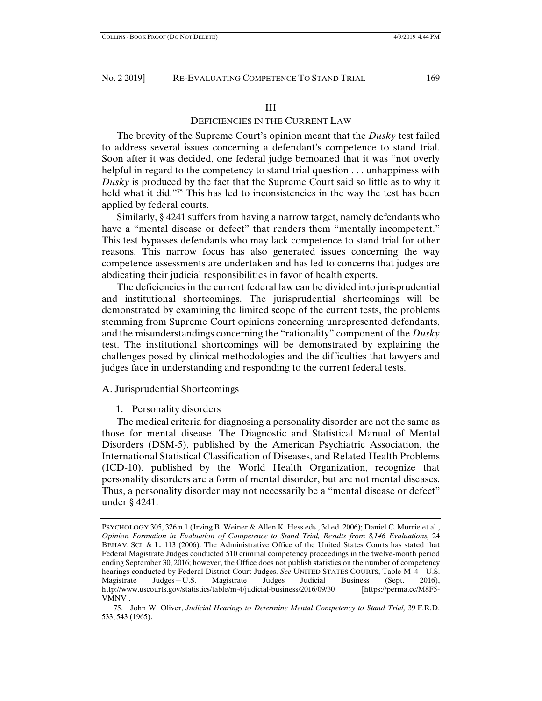#### III

## DEFICIENCIES IN THE CURRENT LAW

The brevity of the Supreme Court's opinion meant that the *Dusky* test failed to address several issues concerning a defendant's competence to stand trial. Soon after it was decided, one federal judge bemoaned that it was "not overly helpful in regard to the competency to stand trial question . . . unhappiness with *Dusky* is produced by the fact that the Supreme Court said so little as to why it held what it did."<sup>75</sup> This has led to inconsistencies in the way the test has been applied by federal courts.

Similarly, § 4241 suffers from having a narrow target, namely defendants who have a "mental disease or defect" that renders them "mentally incompetent." This test bypasses defendants who may lack competence to stand trial for other reasons. This narrow focus has also generated issues concerning the way competence assessments are undertaken and has led to concerns that judges are abdicating their judicial responsibilities in favor of health experts.

The deficiencies in the current federal law can be divided into jurisprudential and institutional shortcomings. The jurisprudential shortcomings will be demonstrated by examining the limited scope of the current tests, the problems stemming from Supreme Court opinions concerning unrepresented defendants, and the misunderstandings concerning the "rationality" component of the *Dusky* test. The institutional shortcomings will be demonstrated by explaining the challenges posed by clinical methodologies and the difficulties that lawyers and judges face in understanding and responding to the current federal tests.

#### A. Jurisprudential Shortcomings

#### 1. Personality disorders

The medical criteria for diagnosing a personality disorder are not the same as those for mental disease. The Diagnostic and Statistical Manual of Mental Disorders (DSM-5), published by the American Psychiatric Association, the International Statistical Classification of Diseases, and Related Health Problems (ICD-10), published by the World Health Organization, recognize that personality disorders are a form of mental disorder, but are not mental diseases. Thus, a personality disorder may not necessarily be a "mental disease or defect" under § 4241.

PSYCHOLOGY 305, 326 n.1 (Irving B. Weiner & Allen K. Hess eds., 3d ed. 2006); Daniel C. Murrie et al., *Opinion Formation in Evaluation of Competence to Stand Trial, Results from 8,146 Evaluations,* 24 BEHAV. SCI. & L. 113 (2006). The Administrative Office of the United States Courts has stated that Federal Magistrate Judges conducted 510 criminal competency proceedings in the twelve-month period ending September 30, 2016; however, the Office does not publish statistics on the number of competency hearings conducted by Federal District Court Judges. See UNITED STATES COURTS, Table M-4-U.S. Magistrate Judges—U.S. Magistrate Judges Judicial Business (Sept. 2016), http://www.uscourts.gov/statistics/table/m-4/judicial-business/2016/09/30 [https://perma.cc/M8F5- VMNV].

 <sup>75.</sup> John W. Oliver, *Judicial Hearings to Determine Mental Competency to Stand Trial,* 39 F.R.D. 533, 543 (1965).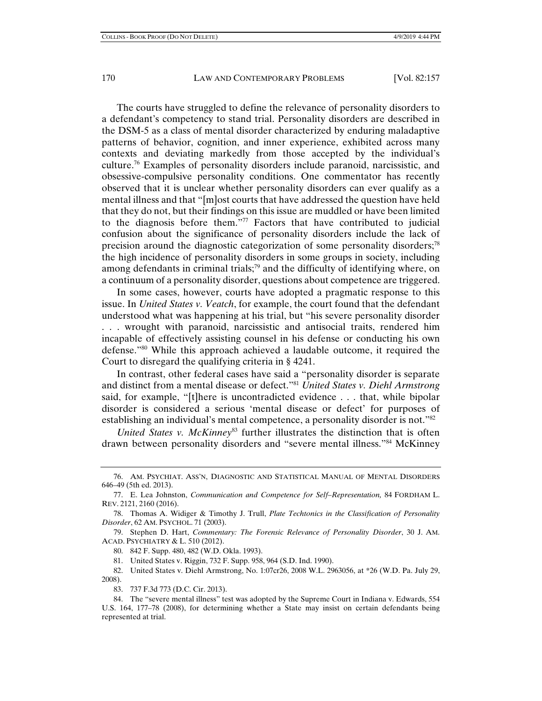The courts have struggled to define the relevance of personality disorders to a defendant's competency to stand trial. Personality disorders are described in the DSM-5 as a class of mental disorder characterized by enduring maladaptive patterns of behavior, cognition, and inner experience, exhibited across many contexts and deviating markedly from those accepted by the individual's culture.<sup>76</sup> Examples of personality disorders include paranoid, narcissistic, and obsessive-compulsive personality conditions. One commentator has recently observed that it is unclear whether personality disorders can ever qualify as a mental illness and that "[m]ost courts that have addressed the question have held that they do not, but their findings on this issue are muddled or have been limited to the diagnosis before them."77 Factors that have contributed to judicial confusion about the significance of personality disorders include the lack of precision around the diagnostic categorization of some personality disorders;78 the high incidence of personality disorders in some groups in society, including among defendants in criminal trials;<sup>79</sup> and the difficulty of identifying where, on a continuum of a personality disorder, questions about competence are triggered.

In some cases, however, courts have adopted a pragmatic response to this issue. In *United States v. Veatch*, for example, the court found that the defendant understood what was happening at his trial, but "his severe personality disorder . . . wrought with paranoid, narcissistic and antisocial traits, rendered him incapable of effectively assisting counsel in his defense or conducting his own defense."80 While this approach achieved a laudable outcome, it required the Court to disregard the qualifying criteria in § 4241.

In contrast, other federal cases have said a "personality disorder is separate and distinct from a mental disease or defect."81 *United States v. Diehl Armstrong* said, for example, "[t]here is uncontradicted evidence . . . that, while bipolar disorder is considered a serious 'mental disease or defect' for purposes of establishing an individual's mental competence, a personality disorder is not."<sup>82</sup>

*United States v. McKinney*<sup>83</sup> further illustrates the distinction that is often drawn between personality disorders and "severe mental illness."84 McKinney

 <sup>76.</sup> AM. PSYCHIAT. ASS'N, DIAGNOSTIC AND STATISTICAL MANUAL OF MENTAL DISORDERS 646–49 (5th ed. 2013).

 <sup>77.</sup> E. Lea Johnston, *Communication and Competence for Self–Representation,* 84 FORDHAM L. REV. 2121, 2160 (2016).

 <sup>78.</sup> Thomas A. Widiger & Timothy J. Trull, *Plate Techtonics in the Classification of Personality Disorder*, 62 AM. PSYCHOL. 71 (2003).

 <sup>79.</sup> Stephen D. Hart, *Commentary: The Forensic Relevance of Personality Disorder*, 30 J. AM. ACAD. PSYCHIATRY & L. 510 (2012).

 <sup>80. 842</sup> F. Supp. 480, 482 (W.D. Okla. 1993).

 <sup>81.</sup> United States v. Riggin, 732 F. Supp. 958, 964 (S.D. Ind. 1990).

 <sup>82.</sup> United States v. Diehl Armstrong, No. 1:07cr26, 2008 W.L. 2963056, at \*26 (W.D. Pa. July 29, 2008).

 <sup>83. 737</sup> F.3d 773 (D.C. Cir. 2013).

 <sup>84.</sup> The "severe mental illness" test was adopted by the Supreme Court in Indiana v. Edwards, 554 U.S. 164, 177–78 (2008), for determining whether a State may insist on certain defendants being represented at trial.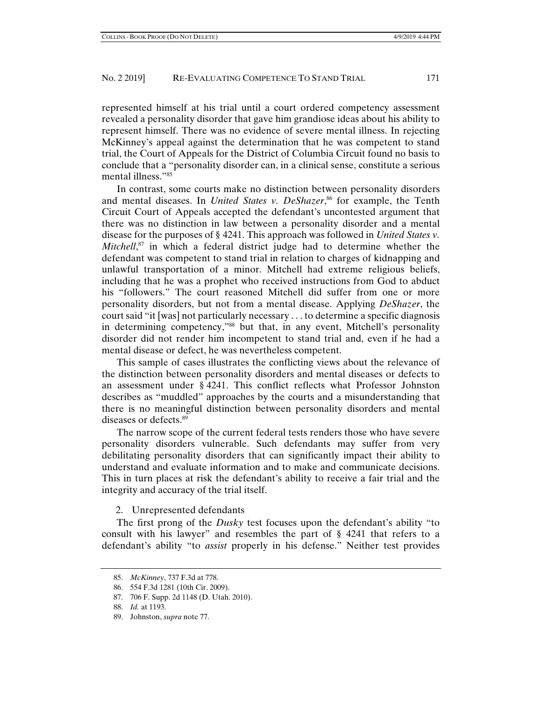represented himself at his trial until a court ordered competency assessment revealed a personality disorder that gave him grandiose ideas about his ability to represent himself. There was no evidence of severe mental illness. In rejecting McKinney's appeal against the determination that he was competent to stand trial, the Court of Appeals for the District of Columbia Circuit found no basis to conclude that a "personality disorder can, in a clinical sense, constitute a serious mental illness."85

In contrast, some courts make no distinction between personality disorders and mental diseases. In *United States v. DeShazer*,<sup>86</sup> for example, the Tenth Circuit Court of Appeals accepted the defendant's uncontested argument that there was no distinction in law between a personality disorder and a mental disease for the purposes of § 4241. This approach was followed in *United States v. Mitchell*, 87 in which a federal district judge had to determine whether the defendant was competent to stand trial in relation to charges of kidnapping and unlawful transportation of a minor. Mitchell had extreme religious beliefs, including that he was a prophet who received instructions from God to abduct his "followers." The court reasoned Mitchell did suffer from one or more personality disorders, but not from a mental disease. Applying *DeShazer*, the court said "it [was] not particularly necessary . . . to determine a specific diagnosis in determining competency,"88 but that, in any event, Mitchell's personality disorder did not render him incompetent to stand trial and, even if he had a mental disease or defect, he was nevertheless competent.

This sample of cases illustrates the conflicting views about the relevance of the distinction between personality disorders and mental diseases or defects to an assessment under § 4241. This conflict reflects what Professor Johnston describes as "muddled" approaches by the courts and a misunderstanding that there is no meaningful distinction between personality disorders and mental diseases or defects.89

The narrow scope of the current federal tests renders those who have severe personality disorders vulnerable. Such defendants may suffer from very debilitating personality disorders that can significantly impact their ability to understand and evaluate information and to make and communicate decisions. This in turn places at risk the defendant's ability to receive a fair trial and the integrity and accuracy of the trial itself.

## 2. Unrepresented defendants

The first prong of the *Dusky* test focuses upon the defendant's ability "to consult with his lawyer" and resembles the part of § 4241 that refers to a defendant's ability "to *assist* properly in his defense." Neither test provides

 <sup>85.</sup> *McKinney*, 737 F.3d at 778.

 <sup>86. 554</sup> F.3d 1281 (10th Cir. 2009).

 <sup>87. 706</sup> F. Supp. 2d 1148 (D. Utah. 2010).

 <sup>88.</sup> *Id.* at 1193.

 <sup>89.</sup> Johnston, *supra* note 77.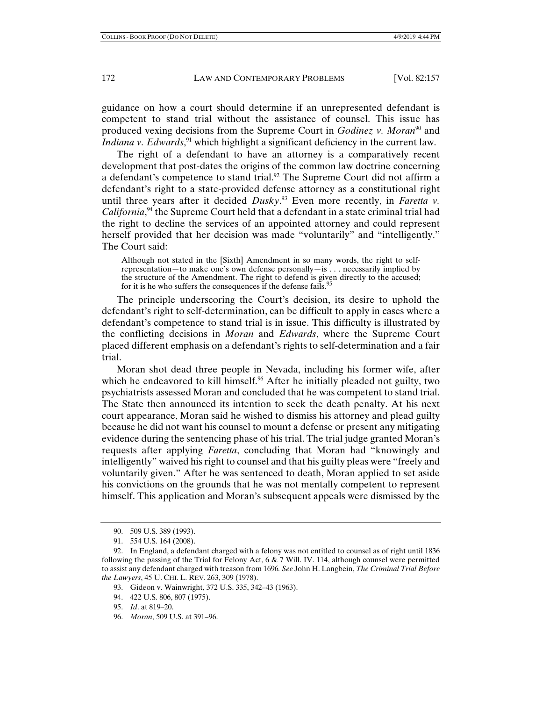guidance on how a court should determine if an unrepresented defendant is competent to stand trial without the assistance of counsel. This issue has produced vexing decisions from the Supreme Court in *Godinez v. Moran*<sup>90</sup> and *Indiana v. Edwards*,<sup>91</sup> which highlight a significant deficiency in the current law.

The right of a defendant to have an attorney is a comparatively recent development that post-dates the origins of the common law doctrine concerning a defendant's competence to stand trial.<sup>92</sup> The Supreme Court did not affirm a defendant's right to a state-provided defense attorney as a constitutional right until three years after it decided *Dusky*. 93 Even more recently, in *Faretta v.*  California,<sup>94</sup> the Supreme Court held that a defendant in a state criminal trial had the right to decline the services of an appointed attorney and could represent herself provided that her decision was made "voluntarily" and "intelligently." The Court said:

Although not stated in the [Sixth] Amendment in so many words, the right to selfrepresentation—to make one's own defense personally—is . . . necessarily implied by the structure of the Amendment. The right to defend is given directly to the accused; for it is he who suffers the consequences if the defense fails.<sup>9</sup>

The principle underscoring the Court's decision, its desire to uphold the defendant's right to self-determination, can be difficult to apply in cases where a defendant's competence to stand trial is in issue. This difficulty is illustrated by the conflicting decisions in *Moran* and *Edwards*, where the Supreme Court placed different emphasis on a defendant's rights to self-determination and a fair trial.

Moran shot dead three people in Nevada, including his former wife, after which he endeavored to kill himself.<sup>96</sup> After he initially pleaded not guilty, two psychiatrists assessed Moran and concluded that he was competent to stand trial. The State then announced its intention to seek the death penalty. At his next court appearance, Moran said he wished to dismiss his attorney and plead guilty because he did not want his counsel to mount a defense or present any mitigating evidence during the sentencing phase of his trial. The trial judge granted Moran's requests after applying *Faretta*, concluding that Moran had "knowingly and intelligently" waived his right to counsel and that his guilty pleas were "freely and voluntarily given." After he was sentenced to death, Moran applied to set aside his convictions on the grounds that he was not mentally competent to represent himself. This application and Moran's subsequent appeals were dismissed by the

96. *Moran*, 509 U.S. at 391–96.

 <sup>90. 509</sup> U.S. 389 (1993).

 <sup>91. 554</sup> U.S. 164 (2008).

 <sup>92.</sup> In England, a defendant charged with a felony was not entitled to counsel as of right until 1836 following the passing of the Trial for Felony Act,  $6 \& 7$  Will. IV. 114, although counsel were permitted to assist any defendant charged with treason from 1696*. See* John H. Langbein, *The Criminal Trial Before the Lawyers*, 45 U. CHI. L. REV. 263, 309 (1978).

 <sup>93.</sup> Gideon v. Wainwright, 372 U.S. 335, 342–43 (1963).

 <sup>94. 422</sup> U.S. 806, 807 (1975).

 <sup>95.</sup> *Id*. at 819–20.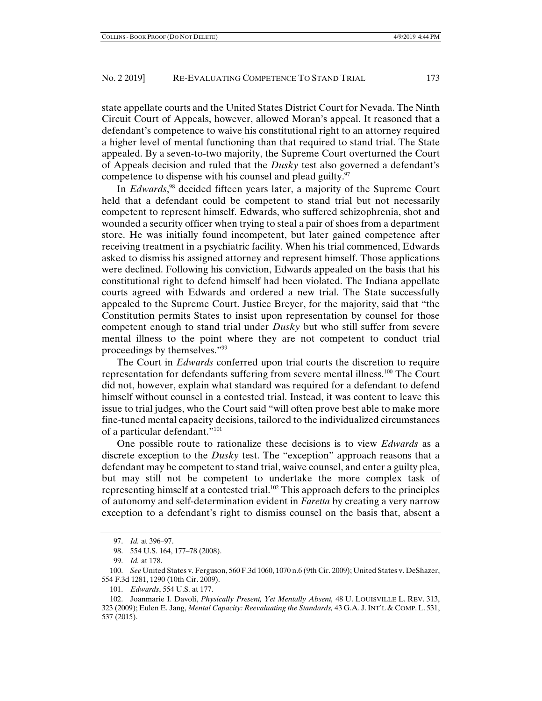state appellate courts and the United States District Court for Nevada. The Ninth Circuit Court of Appeals, however, allowed Moran's appeal. It reasoned that a defendant's competence to waive his constitutional right to an attorney required a higher level of mental functioning than that required to stand trial. The State appealed. By a seven-to-two majority, the Supreme Court overturned the Court of Appeals decision and ruled that the *Dusky* test also governed a defendant's competence to dispense with his counsel and plead guilty. $\frac{97}{2}$ 

In *Edwards*, 98 decided fifteen years later, a majority of the Supreme Court held that a defendant could be competent to stand trial but not necessarily competent to represent himself. Edwards, who suffered schizophrenia, shot and wounded a security officer when trying to steal a pair of shoes from a department store. He was initially found incompetent, but later gained competence after receiving treatment in a psychiatric facility. When his trial commenced, Edwards asked to dismiss his assigned attorney and represent himself. Those applications were declined. Following his conviction, Edwards appealed on the basis that his constitutional right to defend himself had been violated. The Indiana appellate courts agreed with Edwards and ordered a new trial. The State successfully appealed to the Supreme Court. Justice Breyer, for the majority, said that "the Constitution permits States to insist upon representation by counsel for those competent enough to stand trial under *Dusky* but who still suffer from severe mental illness to the point where they are not competent to conduct trial proceedings by themselves."99

The Court in *Edwards* conferred upon trial courts the discretion to require representation for defendants suffering from severe mental illness.100 The Court did not, however, explain what standard was required for a defendant to defend himself without counsel in a contested trial. Instead, it was content to leave this issue to trial judges, who the Court said "will often prove best able to make more fine-tuned mental capacity decisions, tailored to the individualized circumstances of a particular defendant."101

One possible route to rationalize these decisions is to view *Edwards* as a discrete exception to the *Dusky* test. The "exception" approach reasons that a defendant may be competent to stand trial, waive counsel, and enter a guilty plea, but may still not be competent to undertake the more complex task of representing himself at a contested trial.<sup>102</sup> This approach defers to the principles of autonomy and self-determination evident in *Faretta* by creating a very narrow exception to a defendant's right to dismiss counsel on the basis that, absent a

 <sup>97.</sup> *Id.* at 396–97.

 <sup>98. 554</sup> U.S. 164, 177–78 (2008).

 <sup>99.</sup> *Id.* at 178.

 <sup>100.</sup> *See* United States v. Ferguson, 560 F.3d 1060, 1070 n.6 (9th Cir. 2009); United States v. DeShazer, 554 F.3d 1281, 1290 (10th Cir. 2009).

 <sup>101.</sup> *Edwards*, 554 U.S. at 177.

 <sup>102.</sup> Joanmarie I. Davoli, *Physically Present, Yet Mentally Absent,* 48 U. LOUISVILLE L. REV. 313, 323 (2009); Eulen E. Jang, *Mental Capacity: Reevaluating the Standards,* 43 G.A. J.INT'L & COMP. L. 531, 537 (2015).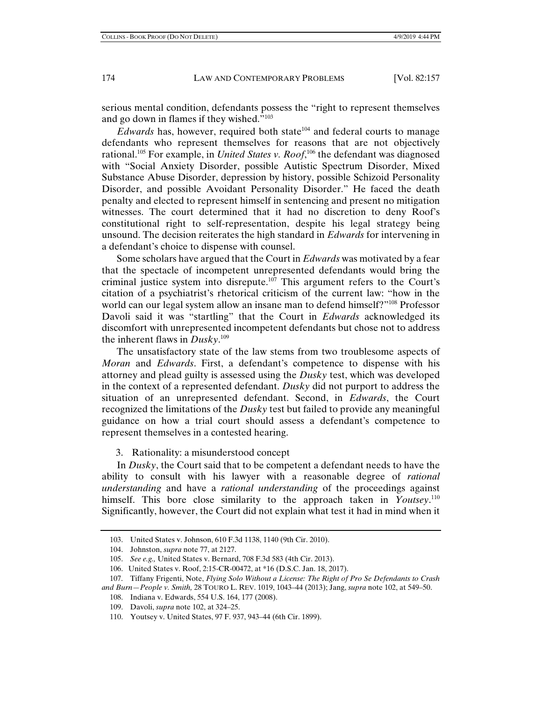serious mental condition, defendants possess the "right to represent themselves and go down in flames if they wished."103

*Edwards* has, however, required both state<sup>104</sup> and federal courts to manage defendants who represent themselves for reasons that are not objectively rational.105 For example, in *United States v. Roof*, 106 the defendant was diagnosed with "Social Anxiety Disorder, possible Autistic Spectrum Disorder, Mixed Substance Abuse Disorder, depression by history, possible Schizoid Personality Disorder, and possible Avoidant Personality Disorder." He faced the death penalty and elected to represent himself in sentencing and present no mitigation witnesses. The court determined that it had no discretion to deny Roof's constitutional right to self-representation, despite his legal strategy being unsound. The decision reiterates the high standard in *Edwards* for intervening in a defendant's choice to dispense with counsel.

Some scholars have argued that the Court in *Edwards* was motivated by a fear that the spectacle of incompetent unrepresented defendants would bring the criminal justice system into disrepute.<sup>107</sup> This argument refers to the Court's citation of a psychiatrist's rhetorical criticism of the current law: "how in the world can our legal system allow an insane man to defend himself?"108 Professor Davoli said it was "startling" that the Court in *Edwards* acknowledged its discomfort with unrepresented incompetent defendants but chose not to address the inherent flaws in *Dusky*. 109

The unsatisfactory state of the law stems from two troublesome aspects of *Moran* and *Edwards*. First, a defendant's competence to dispense with his attorney and plead guilty is assessed using the *Dusky* test, which was developed in the context of a represented defendant. *Dusky* did not purport to address the situation of an unrepresented defendant. Second, in *Edwards*, the Court recognized the limitations of the *Dusky* test but failed to provide any meaningful guidance on how a trial court should assess a defendant's competence to represent themselves in a contested hearing.

3. Rationality: a misunderstood concept

In *Dusky*, the Court said that to be competent a defendant needs to have the ability to consult with his lawyer with a reasonable degree of *rational understanding* and have a *rational understanding* of the proceedings against himself. This bore close similarity to the approach taken in *Youtsey*.<sup>110</sup> Significantly, however, the Court did not explain what test it had in mind when it

 <sup>103.</sup> United States v. Johnson, 610 F.3d 1138, 1140 (9th Cir. 2010).

 <sup>104.</sup> Johnston, *supra* note 77, at 2127.

 <sup>105.</sup> *See e.g.,* United States v. Bernard, 708 F.3d 583 (4th Cir. 2013).

 <sup>106.</sup> United States v. Roof, 2:15-CR-00472, at \*16 (D.S.C. Jan. 18, 2017).

 <sup>107.</sup> Tiffany Frigenti, Note, *Flying Solo Without a License: The Right of Pro Se Defendants to Crash and Burn—People v. Smith,* 28 TOURO L. REV. 1019, 1043–44 (2013); Jang, *supra* note 102, at 549–50.

 <sup>108.</sup> Indiana v. Edwards, 554 U.S. 164, 177 (2008).

 <sup>109.</sup> Davoli, *supra* note 102, at 324–25.

 <sup>110.</sup> Youtsey v. United States, 97 F. 937, 943–44 (6th Cir. 1899).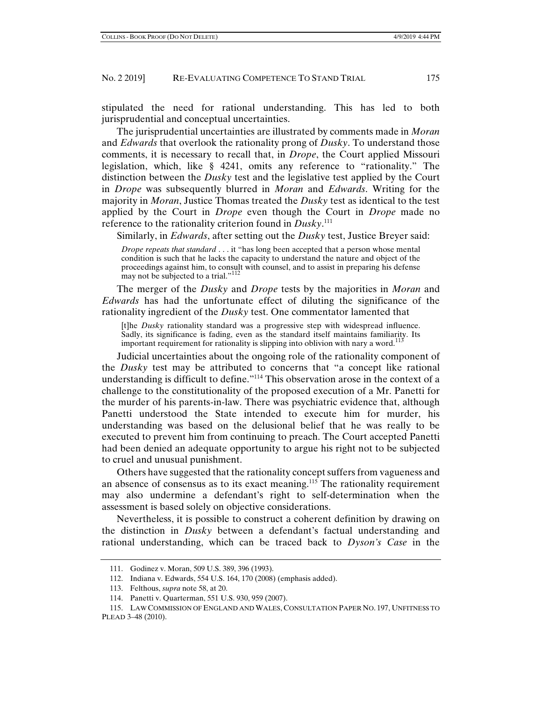stipulated the need for rational understanding. This has led to both jurisprudential and conceptual uncertainties.

The jurisprudential uncertainties are illustrated by comments made in *Moran* and *Edwards* that overlook the rationality prong of *Dusky*. To understand those comments, it is necessary to recall that, in *Drope*, the Court applied Missouri legislation, which, like § 4241, omits any reference to "rationality." The distinction between the *Dusky* test and the legislative test applied by the Court in *Drope* was subsequently blurred in *Moran* and *Edwards*. Writing for the majority in *Moran*, Justice Thomas treated the *Dusky* test as identical to the test applied by the Court in *Drope* even though the Court in *Drope* made no reference to the rationality criterion found in *Dusky*. 111

Similarly, in *Edwards*, after setting out the *Dusky* test, Justice Breyer said:

*Drope repeats that standard* . . . it "has long been accepted that a person whose mental condition is such that he lacks the capacity to understand the nature and object of the proceedings against him, to consult with counsel, and to assist in preparing his defense may not be subjected to a trial."<sup>112</sup>

The merger of the *Dusky* and *Drope* tests by the majorities in *Moran* and *Edwards* has had the unfortunate effect of diluting the significance of the rationality ingredient of the *Dusky* test. One commentator lamented that

[t]he *Dusky* rationality standard was a progressive step with widespread influence. Sadly, its significance is fading, even as the standard itself maintains familiarity. Its important requirement for rationality is slipping into oblivion with nary a word.<sup>113</sup>

Judicial uncertainties about the ongoing role of the rationality component of the *Dusky* test may be attributed to concerns that "a concept like rational understanding is difficult to define."114 This observation arose in the context of a challenge to the constitutionality of the proposed execution of a Mr. Panetti for the murder of his parents-in-law. There was psychiatric evidence that, although Panetti understood the State intended to execute him for murder, his understanding was based on the delusional belief that he was really to be executed to prevent him from continuing to preach. The Court accepted Panetti had been denied an adequate opportunity to argue his right not to be subjected to cruel and unusual punishment.

Others have suggested that the rationality concept suffers from vagueness and an absence of consensus as to its exact meaning.<sup>115</sup> The rationality requirement may also undermine a defendant's right to self-determination when the assessment is based solely on objective considerations.

Nevertheless, it is possible to construct a coherent definition by drawing on the distinction in *Dusky* between a defendant's factual understanding and rational understanding, which can be traced back to *Dyson's Case* in the

 <sup>111.</sup> Godinez v. Moran, 509 U.S. 389, 396 (1993).

 <sup>112.</sup> Indiana v. Edwards, 554 U.S. 164, 170 (2008) (emphasis added).

 <sup>113.</sup> Felthous, *supra* note 58, at 20.

 <sup>114.</sup> Panetti v. Quarterman, 551 U.S. 930, 959 (2007).

 <sup>115.</sup> LAW COMMISSION OF ENGLAND AND WALES, CONSULTATION PAPER NO. 197, UNFITNESS TO PLEAD 3–48 (2010).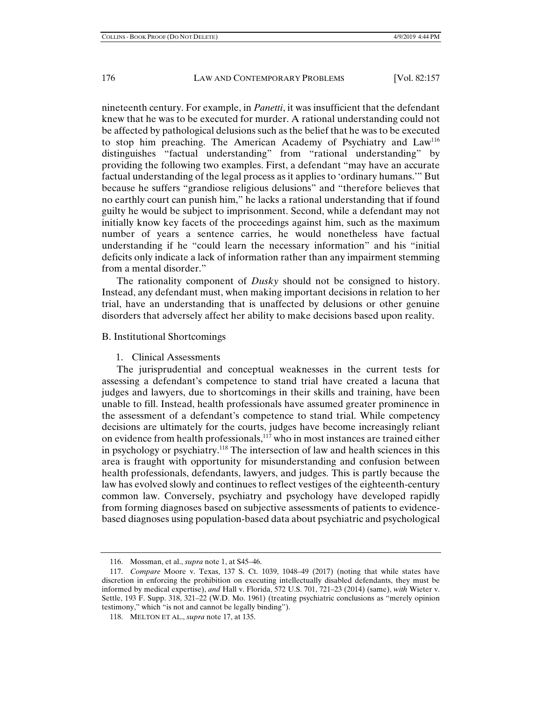nineteenth century. For example, in *Panetti*, it was insufficient that the defendant knew that he was to be executed for murder. A rational understanding could not be affected by pathological delusions such as the belief that he was to be executed to stop him preaching. The American Academy of Psychiatry and  $Law<sup>116</sup>$ distinguishes "factual understanding" from "rational understanding" by providing the following two examples. First, a defendant "may have an accurate factual understanding of the legal process as it applies to 'ordinary humans.'" But because he suffers "grandiose religious delusions" and "therefore believes that no earthly court can punish him," he lacks a rational understanding that if found guilty he would be subject to imprisonment. Second, while a defendant may not initially know key facets of the proceedings against him, such as the maximum number of years a sentence carries, he would nonetheless have factual understanding if he "could learn the necessary information" and his "initial deficits only indicate a lack of information rather than any impairment stemming from a mental disorder."

The rationality component of *Dusky* should not be consigned to history. Instead, any defendant must, when making important decisions in relation to her trial, have an understanding that is unaffected by delusions or other genuine disorders that adversely affect her ability to make decisions based upon reality.

## B. Institutional Shortcomings

### 1. Clinical Assessments

The jurisprudential and conceptual weaknesses in the current tests for assessing a defendant's competence to stand trial have created a lacuna that judges and lawyers, due to shortcomings in their skills and training, have been unable to fill. Instead, health professionals have assumed greater prominence in the assessment of a defendant's competence to stand trial. While competency decisions are ultimately for the courts, judges have become increasingly reliant on evidence from health professionals,117 who in most instances are trained either in psychology or psychiatry.118 The intersection of law and health sciences in this area is fraught with opportunity for misunderstanding and confusion between health professionals, defendants, lawyers, and judges. This is partly because the law has evolved slowly and continues to reflect vestiges of the eighteenth-century common law. Conversely, psychiatry and psychology have developed rapidly from forming diagnoses based on subjective assessments of patients to evidencebased diagnoses using population-based data about psychiatric and psychological

 <sup>116.</sup> Mossman, et al., *supra* note 1, at S45–46.

 <sup>117.</sup> *Compare* Moore v. Texas, 137 S. Ct. 1039, 1048–49 (2017) (noting that while states have discretion in enforcing the prohibition on executing intellectually disabled defendants, they must be informed by medical expertise), *and* Hall v. Florida, 572 U.S. 701, 721–23 (2014) (same), *with* Wieter v. Settle, 193 F. Supp. 318, 321–22 (W.D. Mo. 1961) (treating psychiatric conclusions as "merely opinion testimony," which "is not and cannot be legally binding").

 <sup>118.</sup> MELTON ET AL., *supra* note 17, at 135.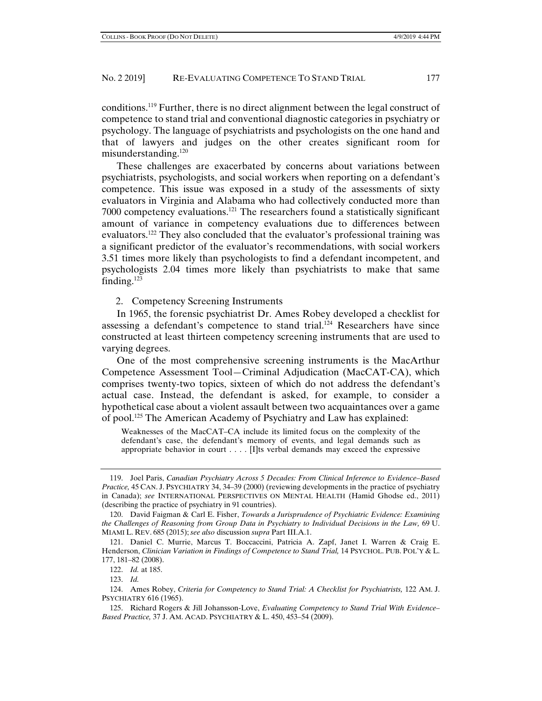conditions.119 Further, there is no direct alignment between the legal construct of competence to stand trial and conventional diagnostic categories in psychiatry or psychology. The language of psychiatrists and psychologists on the one hand and that of lawyers and judges on the other creates significant room for misunderstanding.120

These challenges are exacerbated by concerns about variations between psychiatrists, psychologists, and social workers when reporting on a defendant's competence. This issue was exposed in a study of the assessments of sixty evaluators in Virginia and Alabama who had collectively conducted more than 7000 competency evaluations.121 The researchers found a statistically significant amount of variance in competency evaluations due to differences between evaluators.<sup>122</sup> They also concluded that the evaluator's professional training was a significant predictor of the evaluator's recommendations, with social workers 3.51 times more likely than psychologists to find a defendant incompetent, and psychologists 2.04 times more likely than psychiatrists to make that same finding.123

2. Competency Screening Instruments

In 1965, the forensic psychiatrist Dr. Ames Robey developed a checklist for assessing a defendant's competence to stand trial.<sup>124</sup> Researchers have since constructed at least thirteen competency screening instruments that are used to varying degrees.

One of the most comprehensive screening instruments is the MacArthur Competence Assessment Tool—Criminal Adjudication (MacCAT-CA), which comprises twenty-two topics, sixteen of which do not address the defendant's actual case. Instead, the defendant is asked, for example, to consider a hypothetical case about a violent assault between two acquaintances over a game of pool.125 The American Academy of Psychiatry and Law has explained:

Weaknesses of the MacCAT–CA include its limited focus on the complexity of the defendant's case, the defendant's memory of events, and legal demands such as appropriate behavior in court  $\dots$ . [I]ts verbal demands may exceed the expressive

 <sup>119.</sup> Joel Paris, *Canadian Psychiatry Across 5 Decades: From Clinical Inference to Evidence–Based Practice,* 45 CAN. J. PSYCHIATRY 34, 34–39 (2000) (reviewing developments in the practice of psychiatry in Canada); *see* INTERNATIONAL PERSPECTIVES ON MENTAL HEALTH (Hamid Ghodse ed., 2011) (describing the practice of psychiatry in 91 countries).

 <sup>120.</sup> David Faigman & Carl E. Fisher, *Towards a Jurisprudence of Psychiatric Evidence: Examining the Challenges of Reasoning from Group Data in Psychiatry to Individual Decisions in the Law,* 69 U. MIAMI L. REV. 685 (2015); *see also* discussion *supra* Part III.A.1.

 <sup>121.</sup> Daniel C. Murrie, Marcus T. Boccaccini, Patricia A. Zapf, Janet I. Warren & Craig E. Henderson, *Clinician Variation in Findings of Competence to Stand Trial,* 14 PSYCHOL. PUB. POL'Y & L. 177, 181–82 (2008).

 <sup>122.</sup> *Id.* at 185.

 <sup>123.</sup> *Id.*

 <sup>124.</sup> Ames Robey, *Criteria for Competency to Stand Trial: A Checklist for Psychiatrists,* 122 AM. J. PSYCHIATRY 616 (1965).

 <sup>125.</sup> Richard Rogers & Jill Johansson-Love, *Evaluating Competency to Stand Trial With Evidence– Based Practice,* 37 J. AM. ACAD. PSYCHIATRY & L. 450, 453–54 (2009).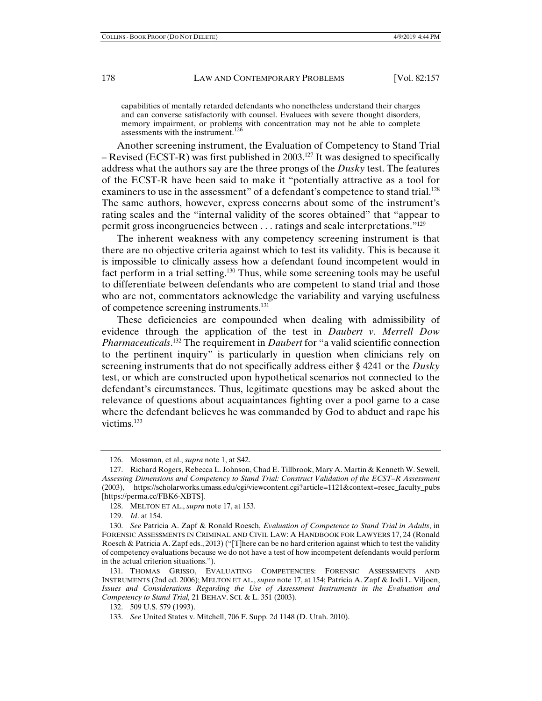capabilities of mentally retarded defendants who nonetheless understand their charges and can converse satisfactorily with counsel. Evaluees with severe thought disorders, memory impairment, or problems with concentration may not be able to complete assessments with the instrument.<sup>126</sup>

Another screening instrument, the Evaluation of Competency to Stand Trial – Revised (ECST-R) was first published in 2003.<sup>127</sup> It was designed to specifically address what the authors say are the three prongs of the *Dusky* test. The features of the ECST-R have been said to make it "potentially attractive as a tool for examiners to use in the assessment" of a defendant's competence to stand trial.<sup>128</sup> The same authors, however, express concerns about some of the instrument's rating scales and the "internal validity of the scores obtained" that "appear to permit gross incongruencies between . . . ratings and scale interpretations."129

The inherent weakness with any competency screening instrument is that there are no objective criteria against which to test its validity. This is because it is impossible to clinically assess how a defendant found incompetent would in fact perform in a trial setting.130 Thus, while some screening tools may be useful to differentiate between defendants who are competent to stand trial and those who are not, commentators acknowledge the variability and varying usefulness of competence screening instruments.131

These deficiencies are compounded when dealing with admissibility of evidence through the application of the test in *Daubert v. Merrell Dow Pharmaceuticals*. 132 The requirement in *Daubert* for "a valid scientific connection to the pertinent inquiry" is particularly in question when clinicians rely on screening instruments that do not specifically address either § 4241 or the *Dusky* test, or which are constructed upon hypothetical scenarios not connected to the defendant's circumstances. Thus, legitimate questions may be asked about the relevance of questions about acquaintances fighting over a pool game to a case where the defendant believes he was commanded by God to abduct and rape his victims.133

 <sup>126.</sup> Mossman, et al., *supra* note 1, at S42.

 <sup>127.</sup> Richard Rogers, Rebecca L. Johnson, Chad E. Tillbrook, Mary A. Martin & Kenneth W. Sewell, *Assessing Dimensions and Competency to Stand Trial: Construct Validation of the ECST–R Assessment* (2003), https://scholarworks.umass.edu/cgi/viewcontent.cgi?article=1121&context=resec\_faculty\_pubs [https://perma.cc/FBK6-XBTS].

 <sup>128.</sup> MELTON ET AL., *supra* note 17, at 153.

 <sup>129.</sup> *Id*. at 154.

 <sup>130.</sup> *See* Patricia A. Zapf & Ronald Roesch, *Evaluation of Competence to Stand Trial in Adults*, in FORENSIC ASSESSMENTS IN CRIMINAL AND CIVIL LAW: A HANDBOOK FOR LAWYERS 17, 24 (Ronald Roesch & Patricia A. Zapf eds., 2013) ("[T]here can be no hard criterion against which to test the validity of competency evaluations because we do not have a test of how incompetent defendants would perform in the actual criterion situations.").

 <sup>131.</sup> THOMAS GRISSO, EVALUATING COMPETENCIES: FORENSIC ASSESSMENTS AND INSTRUMENTS (2nd ed. 2006); MELTON ET AL., *supra* note 17, at 154; Patricia A. Zapf & Jodi L. Viljoen, *Issues and Considerations Regarding the Use of Assessment Instruments in the Evaluation and Competency to Stand Trial,* 21 BEHAV. SCI. & L. 351 (2003).

 <sup>132. 509</sup> U.S. 579 (1993).

 <sup>133.</sup> *See* United States v. Mitchell, 706 F. Supp. 2d 1148 (D. Utah. 2010).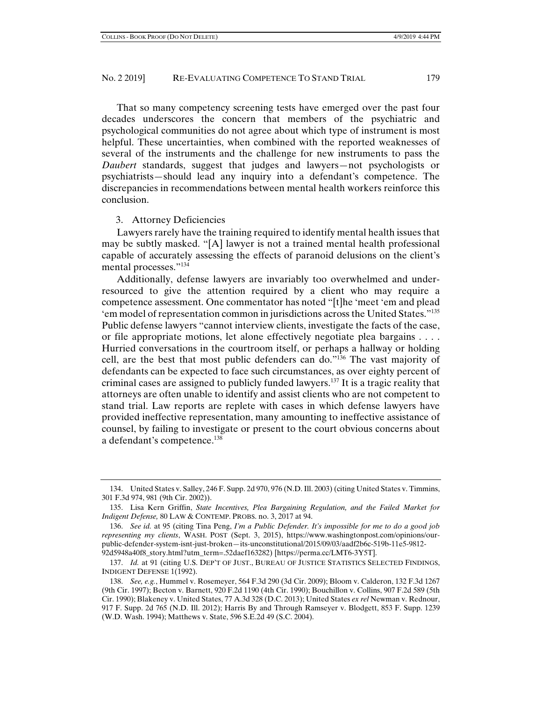That so many competency screening tests have emerged over the past four decades underscores the concern that members of the psychiatric and psychological communities do not agree about which type of instrument is most helpful. These uncertainties, when combined with the reported weaknesses of several of the instruments and the challenge for new instruments to pass the *Daubert* standards, suggest that judges and lawyers—not psychologists or psychiatrists—should lead any inquiry into a defendant's competence. The discrepancies in recommendations between mental health workers reinforce this conclusion.

#### 3. Attorney Deficiencies

Lawyers rarely have the training required to identify mental health issues that may be subtly masked. "[A] lawyer is not a trained mental health professional capable of accurately assessing the effects of paranoid delusions on the client's mental processes."134

Additionally, defense lawyers are invariably too overwhelmed and underresourced to give the attention required by a client who may require a competence assessment. One commentator has noted "[t]he 'meet 'em and plead 'em model of representation common in jurisdictions across the United States."135 Public defense lawyers "cannot interview clients, investigate the facts of the case, or file appropriate motions, let alone effectively negotiate plea bargains . . . . Hurried conversations in the courtroom itself, or perhaps a hallway or holding cell, are the best that most public defenders can do."136 The vast majority of defendants can be expected to face such circumstances, as over eighty percent of criminal cases are assigned to publicly funded lawyers.137 It is a tragic reality that attorneys are often unable to identify and assist clients who are not competent to stand trial. Law reports are replete with cases in which defense lawyers have provided ineffective representation, many amounting to ineffective assistance of counsel, by failing to investigate or present to the court obvious concerns about a defendant's competence.138

 <sup>134.</sup> United States v. Salley, 246 F. Supp. 2d 970, 976 (N.D. Ill. 2003) (citing United States v. Timmins, 301 F.3d 974, 981 (9th Cir. 2002)).

 <sup>135.</sup> Lisa Kern Griffin, *State Incentives, Plea Bargaining Regulation, and the Failed Market for Indigent Defense,* 80 LAW & CONTEMP. PROBS. no. 3, 2017 at 94.

 <sup>136.</sup> *See id.* at 95 (citing Tina Peng, *I'm a Public Defender. It's impossible for me to do a good job representing my clients*, WASH. POST (Sept. 3, 2015), https://www.washingtonpost.com/opinions/ourpublic-defender-system-isnt-just-broken—its-unconstitutional/2015/09/03/aadf2b6c-519b-11e5-9812- 92d5948a40f8\_story.html?utm\_term=.52daef163282) [https://perma.cc/LMT6-3Y5T].

 <sup>137.</sup> *Id.* at 91 (citing U.S. DEP'T OF JUST., BUREAU OF JUSTICE STATISTICS SELECTED FINDINGS, INDIGENT DEFENSE 1(1992).

 <sup>138.</sup> *See, e.g.*, Hummel v. Rosemeyer, 564 F.3d 290 (3d Cir. 2009); Bloom v. Calderon, 132 F.3d 1267 (9th Cir. 1997); Becton v. Barnett, 920 F.2d 1190 (4th Cir. 1990); Bouchillon v. Collins, 907 F.2d 589 (5th Cir. 1990); Blakeney v. United States, 77 A.3d 328 (D.C. 2013); United States *ex rel* Newman v. Rednour, 917 F. Supp. 2d 765 (N.D. Ill. 2012); Harris By and Through Ramseyer v. Blodgett, 853 F. Supp. 1239 (W.D. Wash. 1994); Matthews v. State, 596 S.E.2d 49 (S.C. 2004).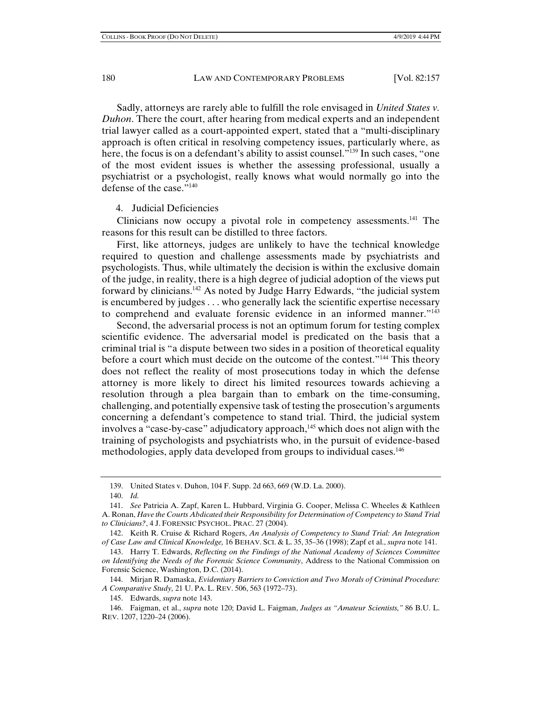Sadly, attorneys are rarely able to fulfill the role envisaged in *United States v. Duhon*. There the court, after hearing from medical experts and an independent trial lawyer called as a court-appointed expert, stated that a "multi-disciplinary approach is often critical in resolving competency issues, particularly where, as here, the focus is on a defendant's ability to assist counsel."<sup>139</sup> In such cases, "one of the most evident issues is whether the assessing professional, usually a psychiatrist or a psychologist, really knows what would normally go into the defense of the case."140

## 4. Judicial Deficiencies

Clinicians now occupy a pivotal role in competency assessments.141 The reasons for this result can be distilled to three factors.

First, like attorneys, judges are unlikely to have the technical knowledge required to question and challenge assessments made by psychiatrists and psychologists. Thus, while ultimately the decision is within the exclusive domain of the judge, in reality, there is a high degree of judicial adoption of the views put forward by clinicians.142 As noted by Judge Harry Edwards, "the judicial system is encumbered by judges . . . who generally lack the scientific expertise necessary to comprehend and evaluate forensic evidence in an informed manner."143

 Second, the adversarial process is not an optimum forum for testing complex scientific evidence. The adversarial model is predicated on the basis that a criminal trial is "a dispute between two sides in a position of theoretical equality before a court which must decide on the outcome of the contest."<sup>144</sup> This theory does not reflect the reality of most prosecutions today in which the defense attorney is more likely to direct his limited resources towards achieving a resolution through a plea bargain than to embark on the time-consuming, challenging, and potentially expensive task of testing the prosecution's arguments concerning a defendant's competence to stand trial. Third, the judicial system involves a "case-by-case" adjudicatory approach,<sup>145</sup> which does not align with the training of psychologists and psychiatrists who, in the pursuit of evidence-based methodologies, apply data developed from groups to individual cases.146

 <sup>139.</sup> United States v. Duhon, 104 F. Supp. 2d 663, 669 (W.D. La. 2000).

 <sup>140.</sup> *Id.*

 <sup>141.</sup> *See* Patricia A. Zapf, Karen L. Hubbard, Virginia G. Cooper, Melissa C. Wheeles & Kathleen A. Ronan, *Have the Courts Abdicated their Responsibility for Determination of Competency to Stand Trial to Clinicians?*, 4 J. FORENSIC PSYCHOL. PRAC. 27 (2004).

 <sup>142.</sup> Keith R. Cruise & Richard Rogers, *An Analysis of Competency to Stand Trial: An Integration of Case Law and Clinical Knowledge,* 16 BEHAV. SCI. & L. 35, 35–36 (1998); Zapf et al., *supra* note 141.

 <sup>143.</sup> Harry T. Edwards, *Reflecting on the Findings of the National Academy of Sciences Committee on Identifying the Needs of the Forensic Science Community*, Address to the National Commission on Forensic Science, Washington, D.C. (2014).

 <sup>144.</sup> Mirjan R. Damaska, *Evidentiary Barriers to Conviction and Two Morals of Criminal Procedure: A Comparative Study,* 21 U. PA. L. REV. 506, 563 (1972–73).

 <sup>145.</sup> Edwards, *supra* note 143.

 <sup>146.</sup> Faigman, et al., *supra* note 120; David L. Faigman, *Judges as "Amateur Scientists,"* 86 B.U. L. REV. 1207, 1220–24 (2006).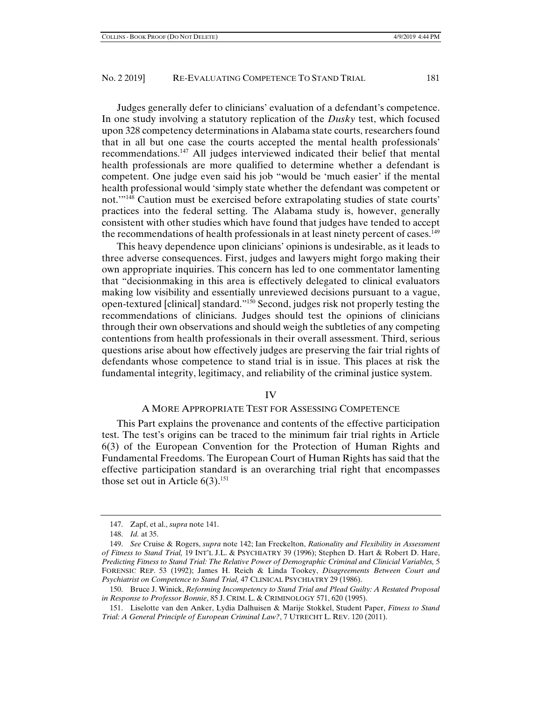Judges generally defer to clinicians' evaluation of a defendant's competence. In one study involving a statutory replication of the *Dusky* test, which focused upon 328 competency determinations in Alabama state courts, researchers found that in all but one case the courts accepted the mental health professionals' recommendations.147 All judges interviewed indicated their belief that mental health professionals are more qualified to determine whether a defendant is competent. One judge even said his job "would be 'much easier' if the mental health professional would 'simply state whether the defendant was competent or not.'"148 Caution must be exercised before extrapolating studies of state courts' practices into the federal setting. The Alabama study is, however, generally consistent with other studies which have found that judges have tended to accept the recommendations of health professionals in at least ninety percent of cases.<sup>149</sup>

This heavy dependence upon clinicians' opinions is undesirable, as it leads to three adverse consequences. First, judges and lawyers might forgo making their own appropriate inquiries. This concern has led to one commentator lamenting that "decisionmaking in this area is effectively delegated to clinical evaluators making low visibility and essentially unreviewed decisions pursuant to a vague, open-textured [clinical] standard."150 Second, judges risk not properly testing the recommendations of clinicians. Judges should test the opinions of clinicians through their own observations and should weigh the subtleties of any competing contentions from health professionals in their overall assessment. Third, serious questions arise about how effectively judges are preserving the fair trial rights of defendants whose competence to stand trial is in issue. This places at risk the fundamental integrity, legitimacy, and reliability of the criminal justice system.

#### IV

#### A MORE APPROPRIATE TEST FOR ASSESSING COMPETENCE

This Part explains the provenance and contents of the effective participation test. The test's origins can be traced to the minimum fair trial rights in Article 6(3) of the European Convention for the Protection of Human Rights and Fundamental Freedoms. The European Court of Human Rights has said that the effective participation standard is an overarching trial right that encompasses those set out in Article  $6(3)$ .<sup>151</sup>

 <sup>147.</sup> Zapf, et al., *supra* note 141.

 <sup>148.</sup> *Id.* at 35.

 <sup>149.</sup> *See* Cruise & Rogers, *supra* note 142; Ian Freckelton, *Rationality and Flexibility in Assessment of Fitness to Stand Trial,* 19 INT'L J.L. & PSYCHIATRY 39 (1996); Stephen D. Hart & Robert D. Hare, *Predicting Fitness to Stand Trial: The Relative Power of Demographic Criminal and Clinicial Variables,* 5 FORENSIC REP. 53 (1992); James H. Reich & Linda Tookey, *Disagreements Between Court and Psychiatrist on Competence to Stand Trial,* 47 CLINICAL PSYCHIATRY 29 (1986).

 <sup>150.</sup> Bruce J. Winick, *Reforming Incompetency to Stand Trial and Plead Guilty: A Restated Proposal in Response to Professor Bonnie*, 85 J. CRIM. L. & CRIMINOLOGY 571, 620 (1995).

 <sup>151.</sup> Liselotte van den Anker, Lydia Dalhuisen & Marije Stokkel, Student Paper, *Fitness to Stand Trial: A General Principle of European Criminal Law?*, 7 UTRECHT L. REV. 120 (2011).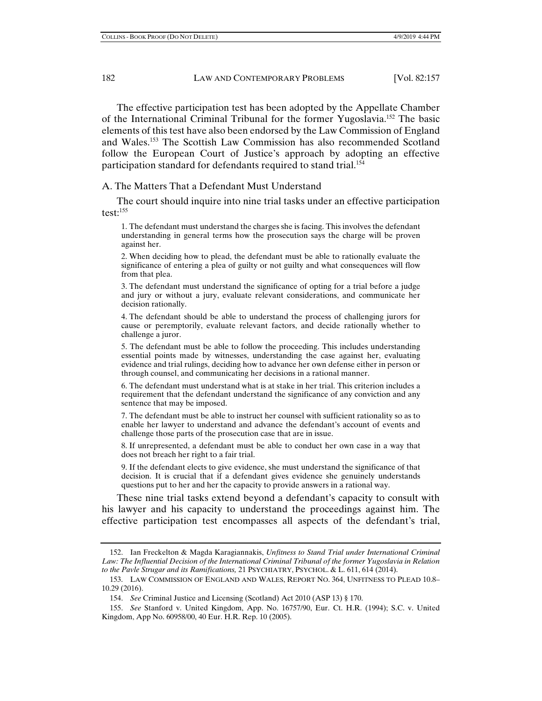The effective participation test has been adopted by the Appellate Chamber of the International Criminal Tribunal for the former Yugoslavia.152 The basic elements of this test have also been endorsed by the Law Commission of England and Wales.153 The Scottish Law Commission has also recommended Scotland follow the European Court of Justice's approach by adopting an effective participation standard for defendants required to stand trial.<sup>154</sup>

A. The Matters That a Defendant Must Understand

The court should inquire into nine trial tasks under an effective participation test: $155$ 

1. The defendant must understand the charges she is facing. This involves the defendant understanding in general terms how the prosecution says the charge will be proven against her.

2. When deciding how to plead, the defendant must be able to rationally evaluate the significance of entering a plea of guilty or not guilty and what consequences will flow from that plea.

3. The defendant must understand the significance of opting for a trial before a judge and jury or without a jury, evaluate relevant considerations, and communicate her decision rationally.

4. The defendant should be able to understand the process of challenging jurors for cause or peremptorily, evaluate relevant factors, and decide rationally whether to challenge a juror.

5. The defendant must be able to follow the proceeding. This includes understanding essential points made by witnesses, understanding the case against her, evaluating evidence and trial rulings, deciding how to advance her own defense either in person or through counsel, and communicating her decisions in a rational manner.

6. The defendant must understand what is at stake in her trial. This criterion includes a requirement that the defendant understand the significance of any conviction and any sentence that may be imposed.

7. The defendant must be able to instruct her counsel with sufficient rationality so as to enable her lawyer to understand and advance the defendant's account of events and challenge those parts of the prosecution case that are in issue.

8. If unrepresented, a defendant must be able to conduct her own case in a way that does not breach her right to a fair trial.

9. If the defendant elects to give evidence, she must understand the significance of that decision. It is crucial that if a defendant gives evidence she genuinely understands questions put to her and her the capacity to provide answers in a rational way.

These nine trial tasks extend beyond a defendant's capacity to consult with his lawyer and his capacity to understand the proceedings against him. The effective participation test encompasses all aspects of the defendant's trial,

 <sup>152.</sup> Ian Freckelton & Magda Karagiannakis, *Unfitness to Stand Trial under International Criminal Law: The Influential Decision of the International Criminal Tribunal of the former Yugoslavia in Relation to the Pavle Strugar and its Ramifications,* 21 PSYCHIATRY, PSYCHOL. & L. 611, 614 (2014).

 <sup>153.</sup> LAW COMMISSION OF ENGLAND AND WALES, REPORT NO. 364, UNFITNESS TO PLEAD 10.8– 10.29 (2016).

 <sup>154.</sup> *See* Criminal Justice and Licensing (Scotland) Act 2010 (ASP 13) § 170.

 <sup>155.</sup> *See* Stanford v. United Kingdom, App. No. 16757/90, Eur. Ct. H.R. (1994); S.C. v. United Kingdom, App No. 60958/00, 40 Eur. H.R. Rep. 10 (2005).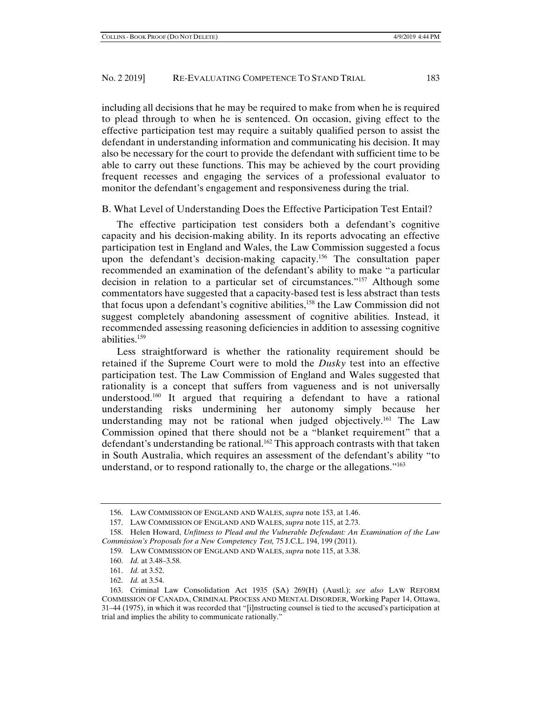including all decisions that he may be required to make from when he is required to plead through to when he is sentenced. On occasion, giving effect to the effective participation test may require a suitably qualified person to assist the defendant in understanding information and communicating his decision. It may also be necessary for the court to provide the defendant with sufficient time to be able to carry out these functions. This may be achieved by the court providing frequent recesses and engaging the services of a professional evaluator to monitor the defendant's engagement and responsiveness during the trial.

B. What Level of Understanding Does the Effective Participation Test Entail?

The effective participation test considers both a defendant's cognitive capacity and his decision-making ability. In its reports advocating an effective participation test in England and Wales, the Law Commission suggested a focus upon the defendant's decision-making capacity.<sup>156</sup> The consultation paper recommended an examination of the defendant's ability to make "a particular decision in relation to a particular set of circumstances."157 Although some commentators have suggested that a capacity-based test is less abstract than tests that focus upon a defendant's cognitive abilities,158 the Law Commission did not suggest completely abandoning assessment of cognitive abilities. Instead, it recommended assessing reasoning deficiencies in addition to assessing cognitive abilities.159

Less straightforward is whether the rationality requirement should be retained if the Supreme Court were to mold the *Dusky* test into an effective participation test. The Law Commission of England and Wales suggested that rationality is a concept that suffers from vagueness and is not universally understood.<sup>160</sup> It argued that requiring a defendant to have a rational understanding risks undermining her autonomy simply because her understanding may not be rational when judged objectively.<sup>161</sup> The Law Commission opined that there should not be a "blanket requirement" that a defendant's understanding be rational.<sup>162</sup> This approach contrasts with that taken in South Australia, which requires an assessment of the defendant's ability "to understand, or to respond rationally to, the charge or the allegations."163

162. *Id.* at 3.54.

 <sup>156.</sup> LAW COMMISSION OF ENGLAND AND WALES, *supra* note 153, at 1.46.

 <sup>157.</sup> LAW COMMISSION OF ENGLAND AND WALES, *supra* note 115, at 2.73.

 <sup>158.</sup> Helen Howard, *Unfitness to Plead and the Vulnerable Defendant: An Examination of the Law Commission's Proposals for a New Competency Test,* 75 J.C.L. 194, 199 (2011).

 <sup>159.</sup> LAW COMMISSION OF ENGLAND AND WALES, *supra* note 115, at 3.38.

 <sup>160.</sup> *Id.* at 3.48–3.58.

 <sup>161.</sup> *Id.* at 3.52.

 <sup>163.</sup> Criminal Law Consolidation Act 1935 (SA) 269(H) (Austl.); *see also* LAW REFORM COMMISSION OF CANADA, CRIMINAL PROCESS AND MENTAL DISORDER, Working Paper 14, Ottawa, 31–44 (1975), in which it was recorded that "[i]nstructing counsel is tied to the accused's participation at trial and implies the ability to communicate rationally."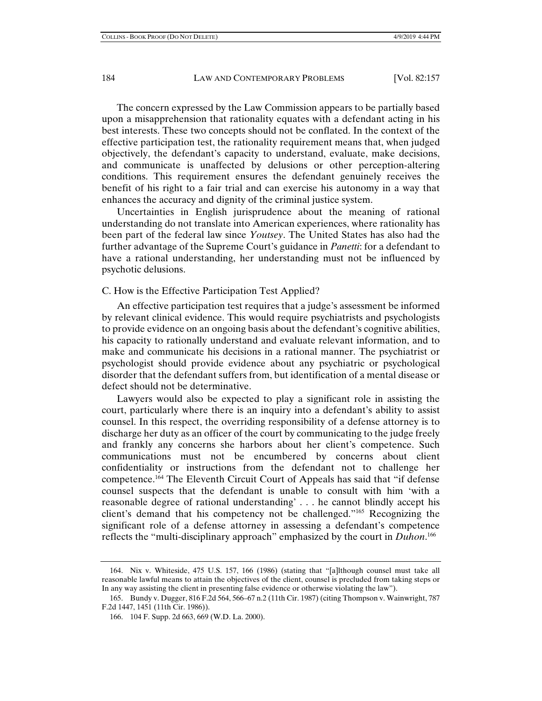The concern expressed by the Law Commission appears to be partially based upon a misapprehension that rationality equates with a defendant acting in his best interests. These two concepts should not be conflated. In the context of the effective participation test, the rationality requirement means that, when judged objectively, the defendant's capacity to understand, evaluate, make decisions, and communicate is unaffected by delusions or other perception-altering conditions. This requirement ensures the defendant genuinely receives the benefit of his right to a fair trial and can exercise his autonomy in a way that enhances the accuracy and dignity of the criminal justice system.

Uncertainties in English jurisprudence about the meaning of rational understanding do not translate into American experiences, where rationality has been part of the federal law since *Youtsey*. The United States has also had the further advantage of the Supreme Court's guidance in *Panetti*: for a defendant to have a rational understanding, her understanding must not be influenced by psychotic delusions.

#### C. How is the Effective Participation Test Applied?

An effective participation test requires that a judge's assessment be informed by relevant clinical evidence. This would require psychiatrists and psychologists to provide evidence on an ongoing basis about the defendant's cognitive abilities, his capacity to rationally understand and evaluate relevant information, and to make and communicate his decisions in a rational manner. The psychiatrist or psychologist should provide evidence about any psychiatric or psychological disorder that the defendant suffers from, but identification of a mental disease or defect should not be determinative.

Lawyers would also be expected to play a significant role in assisting the court, particularly where there is an inquiry into a defendant's ability to assist counsel. In this respect, the overriding responsibility of a defense attorney is to discharge her duty as an officer of the court by communicating to the judge freely and frankly any concerns she harbors about her client's competence. Such communications must not be encumbered by concerns about client confidentiality or instructions from the defendant not to challenge her competence.164 The Eleventh Circuit Court of Appeals has said that "if defense counsel suspects that the defendant is unable to consult with him 'with a reasonable degree of rational understanding' . . . he cannot blindly accept his client's demand that his competency not be challenged.<sup>"165</sup> Recognizing the significant role of a defense attorney in assessing a defendant's competence reflects the "multi-disciplinary approach" emphasized by the court in *Duhon*. 166

 <sup>164.</sup> Nix v. Whiteside, 475 U.S. 157, 166 (1986) (stating that "[a]lthough counsel must take all reasonable lawful means to attain the objectives of the client, counsel is precluded from taking steps or In any way assisting the client in presenting false evidence or otherwise violating the law").

 <sup>165.</sup> Bundy v. Dugger, 816 F.2d 564, 566–67 n.2 (11th Cir. 1987) (citing Thompson v. Wainwright, 787 F.2d 1447, 1451 (11th Cir. 1986)).

 <sup>166. 104</sup> F. Supp. 2d 663, 669 (W.D. La. 2000).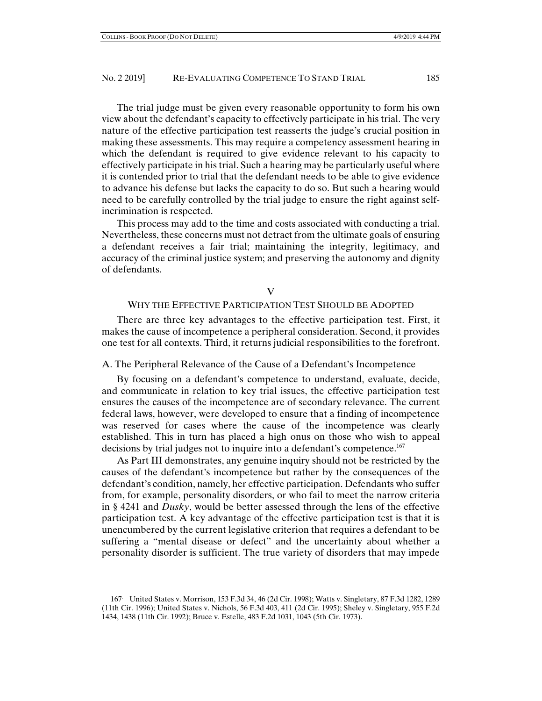The trial judge must be given every reasonable opportunity to form his own view about the defendant's capacity to effectively participate in his trial. The very nature of the effective participation test reasserts the judge's crucial position in making these assessments. This may require a competency assessment hearing in which the defendant is required to give evidence relevant to his capacity to effectively participate in his trial. Such a hearing may be particularly useful where it is contended prior to trial that the defendant needs to be able to give evidence to advance his defense but lacks the capacity to do so. But such a hearing would need to be carefully controlled by the trial judge to ensure the right against selfincrimination is respected.

This process may add to the time and costs associated with conducting a trial. Nevertheless, these concerns must not detract from the ultimate goals of ensuring a defendant receives a fair trial; maintaining the integrity, legitimacy, and accuracy of the criminal justice system; and preserving the autonomy and dignity of defendants.

#### V

## WHY THE EFFECTIVE PARTICIPATION TEST SHOULD BE ADOPTED

There are three key advantages to the effective participation test. First, it makes the cause of incompetence a peripheral consideration. Second, it provides one test for all contexts. Third, it returns judicial responsibilities to the forefront.

## A. The Peripheral Relevance of the Cause of a Defendant's Incompetence

By focusing on a defendant's competence to understand, evaluate, decide, and communicate in relation to key trial issues, the effective participation test ensures the causes of the incompetence are of secondary relevance. The current federal laws, however, were developed to ensure that a finding of incompetence was reserved for cases where the cause of the incompetence was clearly established. This in turn has placed a high onus on those who wish to appeal decisions by trial judges not to inquire into a defendant's competence.167

As Part III demonstrates, any genuine inquiry should not be restricted by the causes of the defendant's incompetence but rather by the consequences of the defendant's condition, namely, her effective participation. Defendants who suffer from, for example, personality disorders, or who fail to meet the narrow criteria in § 4241 and *Dusky*, would be better assessed through the lens of the effective participation test. A key advantage of the effective participation test is that it is unencumbered by the current legislative criterion that requires a defendant to be suffering a "mental disease or defect" and the uncertainty about whether a personality disorder is sufficient. The true variety of disorders that may impede

<sup>167.</sup> United States v. Morrison, 153 F.3d 34, 46 (2d Cir. 1998); Watts v. Singletary, 87 F.3d 1282, 1289 (11th Cir. 1996); United States v. Nichols, 56 F.3d 403, 411 (2d Cir. 1995); Sheley v. Singletary, 955 F.2d 1434, 1438 (11th Cir. 1992); Bruce v. Estelle, 483 F.2d 1031, 1043 (5th Cir. 1973).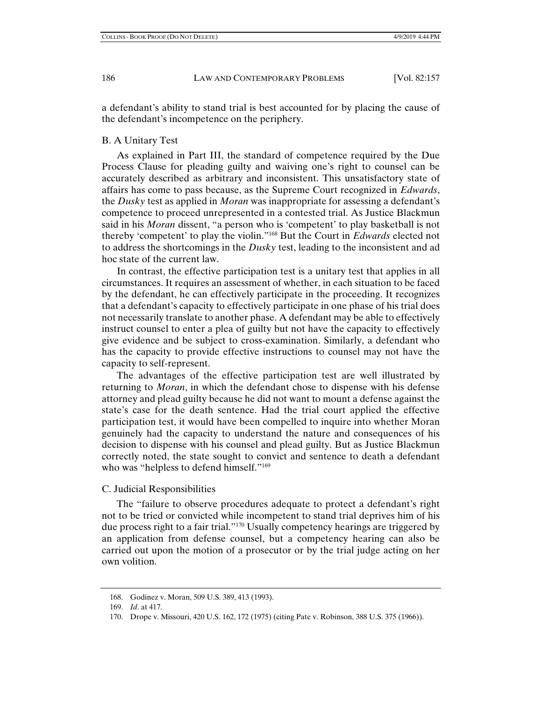a defendant's ability to stand trial is best accounted for by placing the cause of the defendant's incompetence on the periphery.

## B. A Unitary Test

As explained in Part III, the standard of competence required by the Due Process Clause for pleading guilty and waiving one's right to counsel can be accurately described as arbitrary and inconsistent. This unsatisfactory state of affairs has come to pass because, as the Supreme Court recognized in *Edwards*, the *Dusky* test as applied in *Moran* was inappropriate for assessing a defendant's competence to proceed unrepresented in a contested trial. As Justice Blackmun said in his *Moran* dissent, "a person who is 'competent' to play basketball is not thereby 'competent' to play the violin."168 But the Court in *Edwards* elected not to address the shortcomings in the *Dusky* test, leading to the inconsistent and ad hoc state of the current law.

In contrast, the effective participation test is a unitary test that applies in all circumstances. It requires an assessment of whether, in each situation to be faced by the defendant, he can effectively participate in the proceeding. It recognizes that a defendant's capacity to effectively participate in one phase of his trial does not necessarily translate to another phase. A defendant may be able to effectively instruct counsel to enter a plea of guilty but not have the capacity to effectively give evidence and be subject to cross-examination. Similarly, a defendant who has the capacity to provide effective instructions to counsel may not have the capacity to self-represent.

The advantages of the effective participation test are well illustrated by returning to *Moran*, in which the defendant chose to dispense with his defense attorney and plead guilty because he did not want to mount a defense against the state's case for the death sentence. Had the trial court applied the effective participation test, it would have been compelled to inquire into whether Moran genuinely had the capacity to understand the nature and consequences of his decision to dispense with his counsel and plead guilty. But as Justice Blackmun correctly noted, the state sought to convict and sentence to death a defendant who was "helpless to defend himself."<sup>169</sup>

## C. Judicial Responsibilities

The "failure to observe procedures adequate to protect a defendant's right not to be tried or convicted while incompetent to stand trial deprives him of his due process right to a fair trial."<sup>170</sup> Usually competency hearings are triggered by an application from defense counsel, but a competency hearing can also be carried out upon the motion of a prosecutor or by the trial judge acting on her own volition.

 <sup>168.</sup> Godinez v. Moran, 509 U.S. 389, 413 (1993).

 <sup>169.</sup> *Id*. at 417.

 <sup>170.</sup> Drope v. Missouri, 420 U.S. 162, 172 (1975) (citing Pate v. Robinson, 388 U.S. 375 (1966)).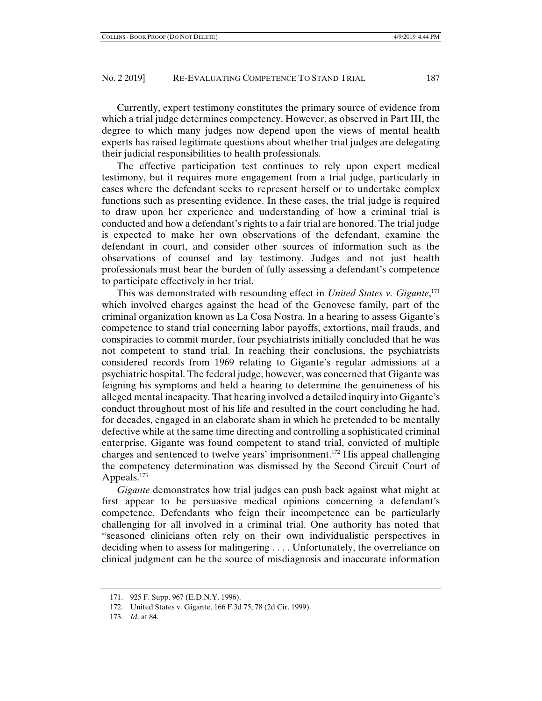Currently, expert testimony constitutes the primary source of evidence from which a trial judge determines competency. However, as observed in Part III, the degree to which many judges now depend upon the views of mental health experts has raised legitimate questions about whether trial judges are delegating their judicial responsibilities to health professionals.

The effective participation test continues to rely upon expert medical testimony, but it requires more engagement from a trial judge, particularly in cases where the defendant seeks to represent herself or to undertake complex functions such as presenting evidence. In these cases, the trial judge is required to draw upon her experience and understanding of how a criminal trial is conducted and how a defendant's rights to a fair trial are honored. The trial judge is expected to make her own observations of the defendant, examine the defendant in court, and consider other sources of information such as the observations of counsel and lay testimony. Judges and not just health professionals must bear the burden of fully assessing a defendant's competence to participate effectively in her trial.

This was demonstrated with resounding effect in *United States v. Gigante*, 171 which involved charges against the head of the Genovese family, part of the criminal organization known as La Cosa Nostra. In a hearing to assess Gigante's competence to stand trial concerning labor payoffs, extortions, mail frauds, and conspiracies to commit murder, four psychiatrists initially concluded that he was not competent to stand trial. In reaching their conclusions, the psychiatrists considered records from 1969 relating to Gigante's regular admissions at a psychiatric hospital. The federal judge, however, was concerned that Gigante was feigning his symptoms and held a hearing to determine the genuineness of his alleged mental incapacity. That hearing involved a detailed inquiry into Gigante's conduct throughout most of his life and resulted in the court concluding he had, for decades, engaged in an elaborate sham in which he pretended to be mentally defective while at the same time directing and controlling a sophisticated criminal enterprise. Gigante was found competent to stand trial, convicted of multiple charges and sentenced to twelve years' imprisonment.172 His appeal challenging the competency determination was dismissed by the Second Circuit Court of Appeals.<sup>173</sup>

*Gigante* demonstrates how trial judges can push back against what might at first appear to be persuasive medical opinions concerning a defendant's competence. Defendants who feign their incompetence can be particularly challenging for all involved in a criminal trial. One authority has noted that "seasoned clinicians often rely on their own individualistic perspectives in deciding when to assess for malingering . . . . Unfortunately, the overreliance on clinical judgment can be the source of misdiagnosis and inaccurate information

 <sup>171. 925</sup> F. Supp. 967 (E.D.N.Y. 1996).

 <sup>172.</sup> United States v. Gigante, 166 F.3d 75, 78 (2d Cir. 1999).

 <sup>173.</sup> *Id.* at 84.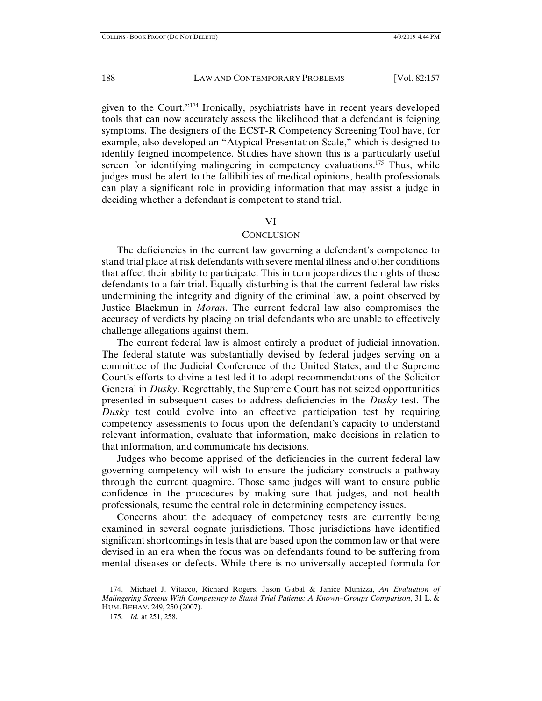given to the Court."174 Ironically, psychiatrists have in recent years developed tools that can now accurately assess the likelihood that a defendant is feigning symptoms. The designers of the ECST-R Competency Screening Tool have, for example, also developed an "Atypical Presentation Scale," which is designed to identify feigned incompetence. Studies have shown this is a particularly useful screen for identifying malingering in competency evaluations.<sup>175</sup> Thus, while judges must be alert to the fallibilities of medical opinions, health professionals can play a significant role in providing information that may assist a judge in deciding whether a defendant is competent to stand trial.

#### VI

#### **CONCLUSION**

The deficiencies in the current law governing a defendant's competence to stand trial place at risk defendants with severe mental illness and other conditions that affect their ability to participate. This in turn jeopardizes the rights of these defendants to a fair trial. Equally disturbing is that the current federal law risks undermining the integrity and dignity of the criminal law, a point observed by Justice Blackmun in *Moran*. The current federal law also compromises the accuracy of verdicts by placing on trial defendants who are unable to effectively challenge allegations against them.

The current federal law is almost entirely a product of judicial innovation. The federal statute was substantially devised by federal judges serving on a committee of the Judicial Conference of the United States, and the Supreme Court's efforts to divine a test led it to adopt recommendations of the Solicitor General in *Dusky*. Regrettably, the Supreme Court has not seized opportunities presented in subsequent cases to address deficiencies in the *Dusky* test. The *Dusky* test could evolve into an effective participation test by requiring competency assessments to focus upon the defendant's capacity to understand relevant information, evaluate that information, make decisions in relation to that information, and communicate his decisions.

Judges who become apprised of the deficiencies in the current federal law governing competency will wish to ensure the judiciary constructs a pathway through the current quagmire. Those same judges will want to ensure public confidence in the procedures by making sure that judges, and not health professionals, resume the central role in determining competency issues.

Concerns about the adequacy of competency tests are currently being examined in several cognate jurisdictions. Those jurisdictions have identified significant shortcomings in tests that are based upon the common law or that were devised in an era when the focus was on defendants found to be suffering from mental diseases or defects. While there is no universally accepted formula for

 <sup>174.</sup> Michael J. Vitacco, Richard Rogers, Jason Gabal & Janice Munizza, *An Evaluation of Malingering Screens With Competency to Stand Trial Patients: A Known–Groups Comparison*, 31 L. & HUM. BEHAV. 249, 250 (2007).

 <sup>175.</sup> *Id.* at 251, 258.